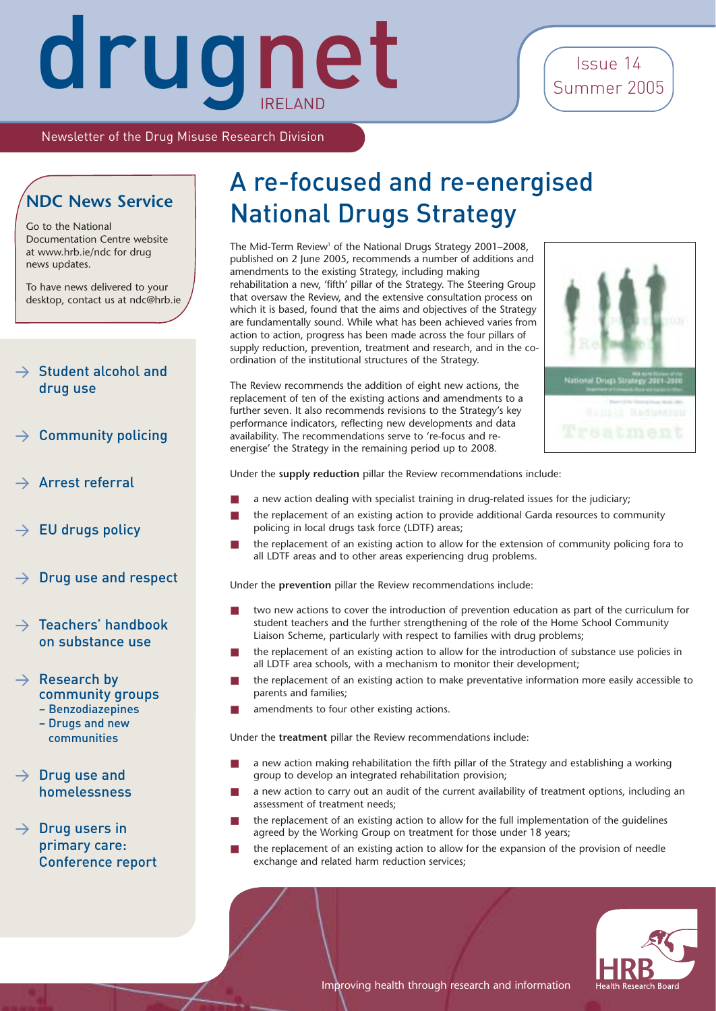### Issue 14 Summer 2005

Newsletter of the Drug Misuse Research Division

#### **NDC News Service**

Go to the National Documentation Centre website at www.hrb.ie/ndc for drug news updates.

To have news delivered to your desktop, contact us at ndc@hrb.ie

#### $\rightarrow$  Student alcohol and drug use

- Community policing
- Arrest referral
- EU drugs policy
- $\rightarrow$  Drug use and respect

#### $\rightarrow$  Teachers' handbook on substance use

- $\rightarrow$  Research by community groups – Benzodiazepines
	- Drugs and new communities
- $\rightarrow$  Drug use and homelessness

 $\rightarrow$  Drug users in primary care: Conference report

## A re-focused and re-energised National Drugs Strategy

The Mid-Term Review<sup>1</sup> of the National Drugs Strategy 2001–2008, published on 2 June 2005, recommends a number of additions and amendments to the existing Strategy, including making rehabilitation a new, 'fifth' pillar of the Strategy. The Steering Group that oversaw the Review, and the extensive consultation process on which it is based, found that the aims and objectives of the Strategy are fundamentally sound. While what has been achieved varies from action to action, progress has been made across the four pillars of supply reduction, prevention, treatment and research, and in the coordination of the institutional structures of the Strategy.

The Review recommends the addition of eight new actions, the replacement of ten of the existing actions and amendments to a further seven. It also recommends revisions to the Strategy's key performance indicators, reflecting new developments and data availability. The recommendations serve to 're-focus and reenergise' the Strategy in the remaining period up to 2008.



Under the **supply reduction** pillar the Review recommendations include:

- a new action dealing with specialist training in drug-related issues for the judiciary;
- the replacement of an existing action to provide additional Garda resources to community policing in local drugs task force (LDTF) areas;
- the replacement of an existing action to allow for the extension of community policing fora to all LDTF areas and to other areas experiencing drug problems.

Under the **prevention** pillar the Review recommendations include:

- two new actions to cover the introduction of prevention education as part of the curriculum for student teachers and the further strengthening of the role of the Home School Community Liaison Scheme, particularly with respect to families with drug problems;
- the replacement of an existing action to allow for the introduction of substance use policies in all LDTF area schools, with a mechanism to monitor their development;
- the replacement of an existing action to make preventative information more easily accessible to parents and families;
- amendments to four other existing actions.

Under the **treatment** pillar the Review recommendations include:

- a new action making rehabilitation the fifth pillar of the Strategy and establishing a working group to develop an integrated rehabilitation provision;
- a new action to carry out an audit of the current availability of treatment options, including an assessment of treatment needs;
- the replacement of an existing action to allow for the full implementation of the guidelines agreed by the Working Group on treatment for those under 18 years;
- the replacement of an existing action to allow for the expansion of the provision of needle exchange and related harm reduction services;

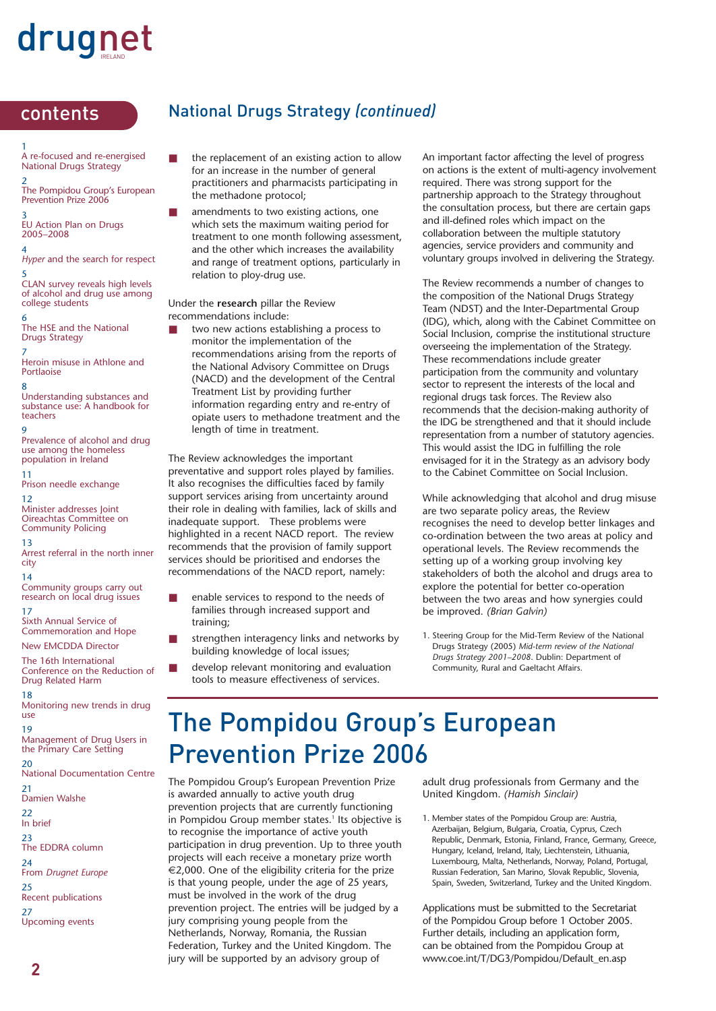1 A re-focused and re-energised National Drugs Strategy

2 The Pompidou Group's European Prevention Prize 2006

3 EU Action Plan on Drugs 2005–2008

4 *Hyper* and the search for respect 5

CLAN survey reveals high levels of alcohol and drug use among college students

6 The HSE and the National Drugs Strategy

7 Heroin misuse in Athlone and Portlaoise

8 Understanding substances and substance use: A handbook for teachers

9 Prevalence of alcohol and drug use among the homeless population in Ireland

11 Prison needle exchange

12 Minister addresses Joint Oireachtas Committee on Community Policing

13 Arrest referral in the north inner city

14 Community groups carry out research on local drug issues

17 Sixth Annual Service of Commemoration and Hope

New EMCDDA Director

The 16th International Conference on the Reduction of Drug Related Harm

18 Monitoring new trends in drug use

19 Management of Drug Users in the Primary Care Setting

20 National Documentation Centre

21 Damien Walshe

22 In brief

23

The EDDRA column 24 From *Drugnet Europe* 25 Recent publications 27 Upcoming events

#### contents National Drugs Strategy *(continued)*

- the replacement of an existing action to allow for an increase in the number of general practitioners and pharmacists participating in the methadone protocol;
- amendments to two existing actions, one which sets the maximum waiting period for treatment to one month following assessment, and the other which increases the availability and range of treatment options, particularly in relation to ploy-drug use.

Under the **research** pillar the Review recommendations include:

two new actions establishing a process to monitor the implementation of the recommendations arising from the reports of the National Advisory Committee on Drugs (NACD) and the development of the Central Treatment List by providing further information regarding entry and re-entry of opiate users to methadone treatment and the length of time in treatment.

The Review acknowledges the important preventative and support roles played by families. It also recognises the difficulties faced by family support services arising from uncertainty around their role in dealing with families, lack of skills and inadequate support. These problems were highlighted in a recent NACD report. The review recommends that the provision of family support services should be prioritised and endorses the recommendations of the NACD report, namely:

- enable services to respond to the needs of families through increased support and training;
- strengthen interagency links and networks by building knowledge of local issues;
- develop relevant monitoring and evaluation tools to measure effectiveness of services.

An important factor affecting the level of progress on actions is the extent of multi-agency involvement required. There was strong support for the partnership approach to the Strategy throughout the consultation process, but there are certain gaps and ill-defined roles which impact on the collaboration between the multiple statutory agencies, service providers and community and voluntary groups involved in delivering the Strategy.

The Review recommends a number of changes to the composition of the National Drugs Strategy Team (NDST) and the Inter-Departmental Group (IDG), which, along with the Cabinet Committee on Social Inclusion, comprise the institutional structure overseeing the implementation of the Strategy. These recommendations include greater participation from the community and voluntary sector to represent the interests of the local and regional drugs task forces. The Review also recommends that the decision-making authority of the IDG be strengthened and that it should include representation from a number of statutory agencies. This would assist the IDG in fulfilling the role envisaged for it in the Strategy as an advisory body to the Cabinet Committee on Social Inclusion.

While acknowledging that alcohol and drug misuse are two separate policy areas, the Review recognises the need to develop better linkages and co-ordination between the two areas at policy and operational levels. The Review recommends the setting up of a working group involving key stakeholders of both the alcohol and drugs area to explore the potential for better co-operation between the two areas and how synergies could be improved. *(Brian Galvin)*

1. Steering Group for the Mid-Term Review of the National Drugs Strategy (2005) *Mid-term review of the National Drugs Strategy 2001–2008*. Dublin: Department of Community, Rural and Gaeltacht Affairs.

### The Pompidou Group's European Prevention Prize 2006

The Pompidou Group's European Prevention Prize is awarded annually to active youth drug prevention projects that are currently functioning in Pompidou Group member states.<sup>1</sup> Its objective is to recognise the importance of active youth participation in drug prevention. Up to three youth projects will each receive a monetary prize worth €2,000. One of the eligibility criteria for the prize is that young people, under the age of 25 years, must be involved in the work of the drug prevention project. The entries will be judged by a jury comprising young people from the Netherlands, Norway, Romania, the Russian Federation, Turkey and the United Kingdom. The jury will be supported by an advisory group of

adult drug professionals from Germany and the United Kingdom. *(Hamish Sinclair)*

1. Member states of the Pompidou Group are: Austria, Azerbaijan, Belgium, Bulgaria, Croatia, Cyprus, Czech Republic, Denmark, Estonia, Finland, France, Germany, Greece, Hungary, Iceland, Ireland, Italy, Liechtenstein, Lithuania, Luxembourg, Malta, Netherlands, Norway, Poland, Portugal, Russian Federation, San Marino, Slovak Republic, Slovenia, Spain, Sweden, Switzerland, Turkey and the United Kingdom.

Applications must be submitted to the Secretariat of the Pompidou Group before 1 October 2005. Further details, including an application form, can be obtained from the Pompidou Group at www.coe.int/T/DG3/Pompidou/Default\_en.asp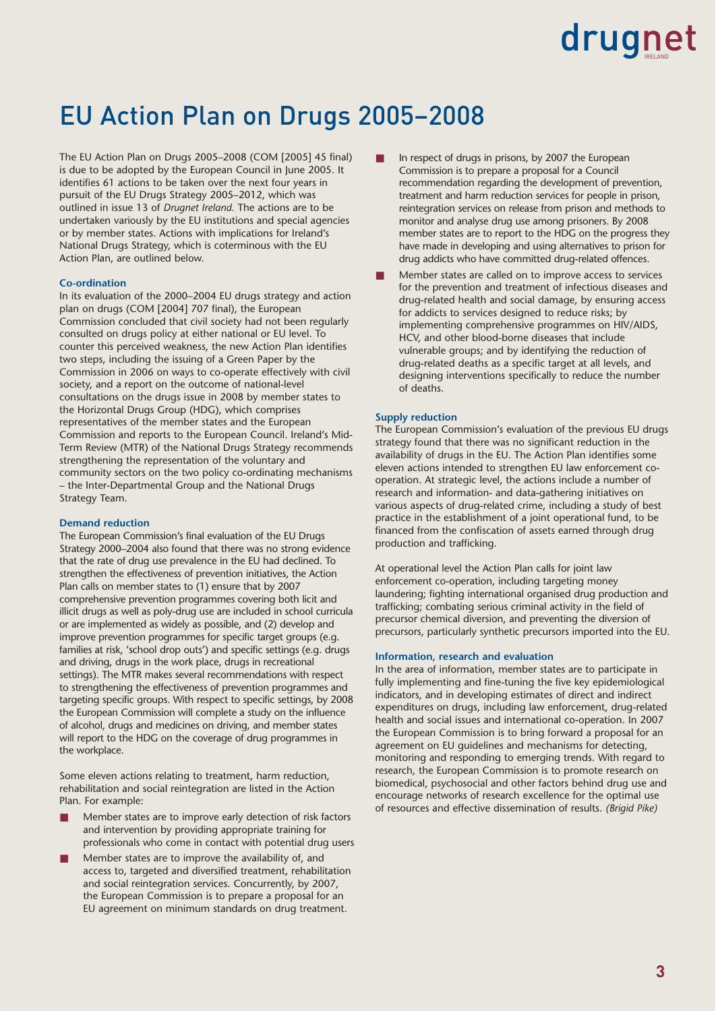### EU Action Plan on Drugs 2005–2008

The EU Action Plan on Drugs 2005–2008 (COM [2005] 45 final) is due to be adopted by the European Council in June 2005. It identifies 61 actions to be taken over the next four years in pursuit of the EU Drugs Strategy 2005–2012, which was outlined in issue 13 of *Drugnet Ireland.* The actions are to be undertaken variously by the EU institutions and special agencies or by member states. Actions with implications for Ireland's National Drugs Strategy, which is coterminous with the EU Action Plan, are outlined below.

#### **Co-ordination**

In its evaluation of the 2000–2004 EU drugs strategy and action plan on drugs (COM [2004] 707 final), the European Commission concluded that civil society had not been regularly consulted on drugs policy at either national or EU level. To counter this perceived weakness, the new Action Plan identifies two steps, including the issuing of a Green Paper by the Commission in 2006 on ways to co-operate effectively with civil society, and a report on the outcome of national-level consultations on the drugs issue in 2008 by member states to the Horizontal Drugs Group (HDG), which comprises representatives of the member states and the European Commission and reports to the European Council. Ireland's Mid-Term Review (MTR) of the National Drugs Strategy recommends strengthening the representation of the voluntary and community sectors on the two policy co-ordinating mechanisms – the Inter-Departmental Group and the National Drugs Strategy Team.

#### **Demand reduction**

The European Commission's final evaluation of the EU Drugs Strategy 2000–2004 also found that there was no strong evidence that the rate of drug use prevalence in the EU had declined. To strengthen the effectiveness of prevention initiatives, the Action Plan calls on member states to (1) ensure that by 2007 comprehensive prevention programmes covering both licit and illicit drugs as well as poly-drug use are included in school curricula or are implemented as widely as possible, and (2) develop and improve prevention programmes for specific target groups (e.g. families at risk, 'school drop outs') and specific settings (e.g. drugs and driving, drugs in the work place, drugs in recreational settings). The MTR makes several recommendations with respect to strengthening the effectiveness of prevention programmes and targeting specific groups. With respect to specific settings, by 2008 the European Commission will complete a study on the influence of alcohol, drugs and medicines on driving, and member states will report to the HDG on the coverage of drug programmes in the workplace.

Some eleven actions relating to treatment, harm reduction, rehabilitation and social reintegration are listed in the Action Plan. For example:

- Member states are to improve early detection of risk factors and intervention by providing appropriate training for professionals who come in contact with potential drug users
- Member states are to improve the availability of, and access to, targeted and diversified treatment, rehabilitation and social reintegration services. Concurrently, by 2007, the European Commission is to prepare a proposal for an EU agreement on minimum standards on drug treatment.
- In respect of drugs in prisons, by 2007 the European Commission is to prepare a proposal for a Council recommendation regarding the development of prevention, treatment and harm reduction services for people in prison, reintegration services on release from prison and methods to monitor and analyse drug use among prisoners. By 2008 member states are to report to the HDG on the progress they have made in developing and using alternatives to prison for drug addicts who have committed drug-related offences.
- Member states are called on to improve access to services for the prevention and treatment of infectious diseases and drug-related health and social damage, by ensuring access for addicts to services designed to reduce risks; by implementing comprehensive programmes on HIV/AIDS, HCV, and other blood-borne diseases that include vulnerable groups; and by identifying the reduction of drug-related deaths as a specific target at all levels, and designing interventions specifically to reduce the number of deaths.

#### **Supply reduction**

The European Commission's evaluation of the previous EU drugs strategy found that there was no significant reduction in the availability of drugs in the EU. The Action Plan identifies some eleven actions intended to strengthen EU law enforcement cooperation. At strategic level, the actions include a number of research and information- and data-gathering initiatives on various aspects of drug-related crime, including a study of best practice in the establishment of a joint operational fund, to be financed from the confiscation of assets earned through drug production and trafficking.

At operational level the Action Plan calls for joint law enforcement co-operation, including targeting money laundering; fighting international organised drug production and trafficking; combating serious criminal activity in the field of precursor chemical diversion, and preventing the diversion of precursors, particularly synthetic precursors imported into the EU.

#### **Information, research and evaluation**

In the area of information, member states are to participate in fully implementing and fine-tuning the five key epidemiological indicators, and in developing estimates of direct and indirect expenditures on drugs, including law enforcement, drug-related health and social issues and international co-operation. In 2007 the European Commission is to bring forward a proposal for an agreement on EU guidelines and mechanisms for detecting, monitoring and responding to emerging trends. With regard to research, the European Commission is to promote research on biomedical, psychosocial and other factors behind drug use and encourage networks of research excellence for the optimal use of resources and effective dissemination of results. *(Brigid Pike)*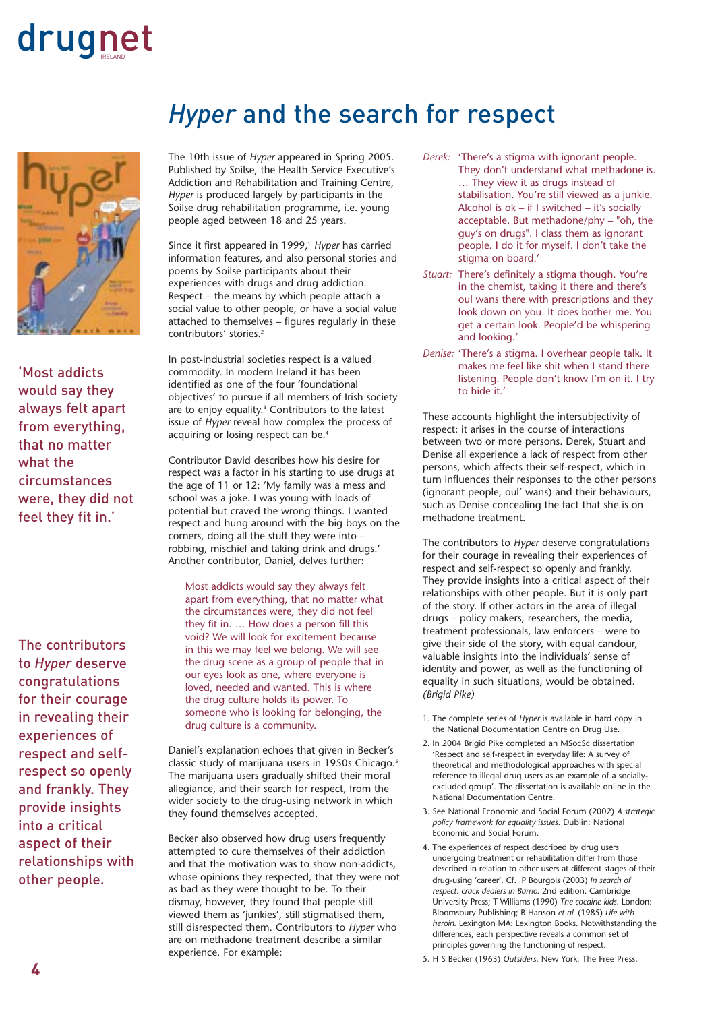

'Most addicts would say they always felt apart from everything, that no matter what the circumstances were, they did not feel they fit in.'

The contributors to *Hyper* deserve congratulations for their courage in revealing their experiences of respect and selfrespect so openly and frankly. They provide insights into a critical aspect of their relationships with other people.

### *Hyper* and the search for respect

The 10th issue of *Hyper* appeared in Spring 2005. Published by Soilse, the Health Service Executive's Addiction and Rehabilitation and Training Centre, *Hyper* is produced largely by participants in the Soilse drug rehabilitation programme, i.e. young people aged between 18 and 25 years.

Since it first appeared in 1999,<sup>1</sup> Hyper has carried information features, and also personal stories and poems by Soilse participants about their experiences with drugs and drug addiction. Respect – the means by which people attach a social value to other people, or have a social value attached to themselves – figures regularly in these contributors' stories.<sup>2</sup>

In post-industrial societies respect is a valued commodity. In modern Ireland it has been identified as one of the four 'foundational objectives' to pursue if all members of Irish society are to enjoy equality.<sup>3</sup> Contributors to the latest issue of *Hyper* reveal how complex the process of acquiring or losing respect can be.<sup>4</sup>

Contributor David describes how his desire for respect was a factor in his starting to use drugs at the age of 11 or 12: 'My family was a mess and school was a joke. I was young with loads of potential but craved the wrong things. I wanted respect and hung around with the big boys on the corners, doing all the stuff they were into – robbing, mischief and taking drink and drugs.' Another contributor, Daniel, delves further:

Most addicts would say they always felt apart from everything, that no matter what the circumstances were, they did not feel they fit in. … How does a person fill this void? We will look for excitement because in this we may feel we belong. We will see the drug scene as a group of people that in our eyes look as one, where everyone is loved, needed and wanted. This is where the drug culture holds its power. To someone who is looking for belonging, the drug culture is a community.

Daniel's explanation echoes that given in Becker's classic study of marijuana users in 1950s Chicago.<sup>5</sup> The marijuana users gradually shifted their moral allegiance, and their search for respect, from the wider society to the drug-using network in which they found themselves accepted.

Becker also observed how drug users frequently attempted to cure themselves of their addiction and that the motivation was to show non-addicts, whose opinions they respected, that they were not as bad as they were thought to be. To their dismay, however, they found that people still viewed them as 'junkies', still stigmatised them, still disrespected them. Contributors to *Hyper* who are on methadone treatment describe a similar experience. For example:

- *Derek:* 'There's a stigma with ignorant people. They don't understand what methadone is. … They view it as drugs instead of stabilisation. You're still viewed as a junkie. Alcohol is ok – if I switched – it's socially acceptable. But methadone/phy – "oh, the guy's on drugs". I class them as ignorant people. I do it for myself. I don't take the stigma on board.'
- *Stuart:* There's definitely a stigma though. You're in the chemist, taking it there and there's oul wans there with prescriptions and they look down on you. It does bother me. You get a certain look. People'd be whispering and looking.'
- *Denise:* 'There's a stigma. I overhear people talk. It makes me feel like shit when I stand there listening. People don't know I'm on it. I try to hide it.'

These accounts highlight the intersubjectivity of respect: it arises in the course of interactions between two or more persons. Derek, Stuart and Denise all experience a lack of respect from other persons, which affects their self-respect, which in turn influences their responses to the other persons (ignorant people, oul' wans) and their behaviours, such as Denise concealing the fact that she is on methadone treatment.

The contributors to *Hyper* deserve congratulations for their courage in revealing their experiences of respect and self-respect so openly and frankly. They provide insights into a critical aspect of their relationships with other people. But it is only part of the story. If other actors in the area of illegal drugs – policy makers, researchers, the media, treatment professionals, law enforcers – were to give their side of the story, with equal candour, valuable insights into the individuals' sense of identity and power, as well as the functioning of equality in such situations, would be obtained. *(Brigid Pike)* 

- 1. The complete series of *Hyper* is available in hard copy in the National Documentation Centre on Drug Use.
- 2. In 2004 Brigid Pike completed an MSocSc dissertation 'Respect and self-respect in everyday life: A survey of theoretical and methodological approaches with special reference to illegal drug users as an example of a sociallyexcluded group'. The dissertation is available online in the National Documentation Centre.
- 3. See National Economic and Social Forum (2002) *A strategic policy framework for equality issues.* Dublin: National Economic and Social Forum.
- 4. The experiences of respect described by drug users undergoing treatment or rehabilitation differ from those described in relation to other users at different stages of their drug-using 'career'. Cf. P Bourgois (2003) *In search of respect: crack dealers in Barrio.* 2nd edition. Cambridge University Press; T Williams (1990) *The cocaine kids.* London: Bloomsbury Publishing; B Hanson *et al.* (1985) *Life with heroin.* Lexington MA: Lexington Books. Notwithstanding the differences, each perspective reveals a common set of principles governing the functioning of respect.
- 5. H S Becker (1963) *Outsiders.* New York: The Free Press.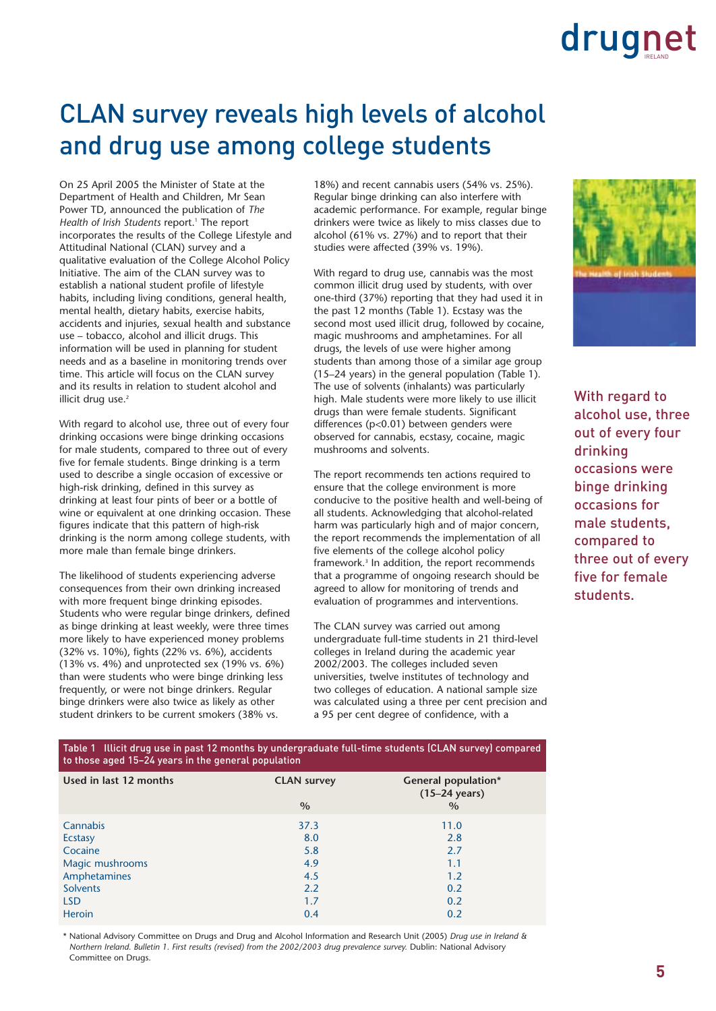### CLAN survey reveals high levels of alcohol and drug use among college students

On 25 April 2005 the Minister of State at the Department of Health and Children, Mr Sean Power TD, announced the publication of *The Health of Irish Students* report.<sup>1</sup> The report incorporates the results of the College Lifestyle and Attitudinal National (CLAN) survey and a qualitative evaluation of the College Alcohol Policy Initiative. The aim of the CLAN survey was to establish a national student profile of lifestyle habits, including living conditions, general health, mental health, dietary habits, exercise habits, accidents and injuries, sexual health and substance use – tobacco, alcohol and illicit drugs. This information will be used in planning for student needs and as a baseline in monitoring trends over time. This article will focus on the CLAN survey and its results in relation to student alcohol and illicit drug use.<sup>2</sup>

With regard to alcohol use, three out of every four drinking occasions were binge drinking occasions for male students, compared to three out of every five for female students. Binge drinking is a term used to describe a single occasion of excessive or high-risk drinking, defined in this survey as drinking at least four pints of beer or a bottle of wine or equivalent at one drinking occasion. These figures indicate that this pattern of high-risk drinking is the norm among college students, with more male than female binge drinkers.

The likelihood of students experiencing adverse consequences from their own drinking increased with more frequent binge drinking episodes. Students who were regular binge drinkers, defined as binge drinking at least weekly, were three times more likely to have experienced money problems (32% vs. 10%), fights (22% vs. 6%), accidents (13% vs. 4%) and unprotected sex (19% vs. 6%) than were students who were binge drinking less frequently, or were not binge drinkers. Regular binge drinkers were also twice as likely as other student drinkers to be current smokers (38% vs.

18%) and recent cannabis users (54% vs. 25%). Regular binge drinking can also interfere with academic performance. For example, regular binge drinkers were twice as likely to miss classes due to alcohol (61% vs. 27%) and to report that their studies were affected (39% vs. 19%).

With regard to drug use, cannabis was the most common illicit drug used by students, with over one-third (37%) reporting that they had used it in the past 12 months (Table 1). Ecstasy was the second most used illicit drug, followed by cocaine, magic mushrooms and amphetamines. For all drugs, the levels of use were higher among students than among those of a similar age group (15–24 years) in the general population (Table 1). The use of solvents (inhalants) was particularly high. Male students were more likely to use illicit drugs than were female students. Significant differences (p<0.01) between genders were observed for cannabis, ecstasy, cocaine, magic mushrooms and solvents.

The report recommends ten actions required to ensure that the college environment is more conducive to the positive health and well-being of all students. Acknowledging that alcohol-related harm was particularly high and of major concern, the report recommends the implementation of all five elements of the college alcohol policy framework.3 In addition, the report recommends that a programme of ongoing research should be agreed to allow for monitoring of trends and evaluation of programmes and interventions.

The CLAN survey was carried out among undergraduate full-time students in 21 third-level colleges in Ireland during the academic year 2002/2003. The colleges included seven universities, twelve institutes of technology and two colleges of education. A national sample size was calculated using a three per cent precision and a 95 per cent degree of confidence, with a



With regard to alcohol use, three out of every four drinking occasions were binge drinking occasions for male students, compared to three out of every five for female students.

#### Table 1 Illicit drug use in past 12 months by undergraduate full-time students (CLAN survey) compared to those aged 15–24 years in the general population

|                        | . .                        |                                                                        |
|------------------------|----------------------------|------------------------------------------------------------------------|
| Used in last 12 months | <b>CLAN survey</b><br>$\%$ | <b>General population*</b><br>$(15-24 \text{ years})$<br>$\frac{0}{0}$ |
| Cannabis               | 37.3                       | 11.0                                                                   |
| <b>Ecstasy</b>         | 8.0                        | 2.8                                                                    |
| Cocaine                | 5.8                        | 2.7                                                                    |
| Magic mushrooms        | 4.9                        | 1.1                                                                    |
| Amphetamines           | 4.5                        | 1.2                                                                    |
| <b>Solvents</b>        | 2.2                        | 0.2                                                                    |
| <b>LSD</b>             | 1.7                        | 0.2                                                                    |
| <b>Heroin</b>          | 0.4                        | 0.2                                                                    |

\* National Advisory Committee on Drugs and Drug and Alcohol Information and Research Unit (2005) *Drug use in Ireland & Northern Ireland. Bulletin 1. First results (revised) from the 2002/2003 drug prevalence survey.* Dublin: National Advisory Committee on Drugs.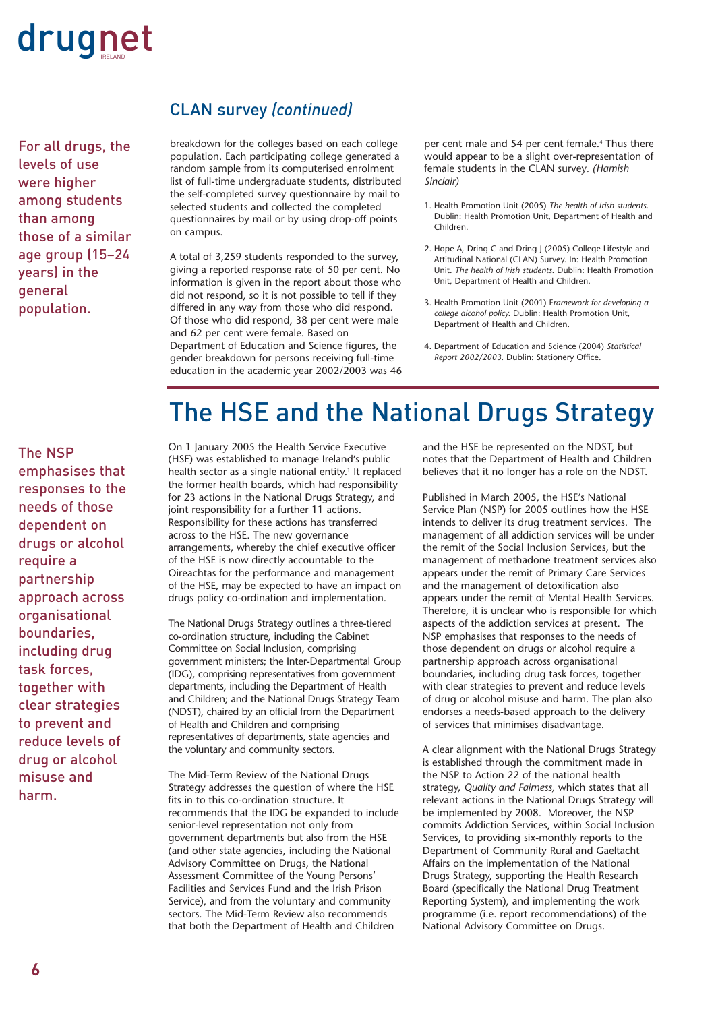

For all drugs, the levels of use were higher among students than among those of a similar age group (15–24 years) in the general population.

#### CLAN survey *(continued)*

breakdown for the colleges based on each college population. Each participating college generated a random sample from its computerised enrolment list of full-time undergraduate students, distributed the self-completed survey questionnaire by mail to selected students and collected the completed questionnaires by mail or by using drop-off points on campus.

A total of 3,259 students responded to the survey, giving a reported response rate of 50 per cent. No information is given in the report about those who did not respond, so it is not possible to tell if they differed in any way from those who did respond. Of those who did respond, 38 per cent were male and 62 per cent were female. Based on Department of Education and Science figures, the gender breakdown for persons receiving full-time education in the academic year 2002/2003 was 46 per cent male and 54 per cent female.<sup>4</sup> Thus there would appear to be a slight over-representation of female students in the CLAN survey*. (Hamish Sinclair)*

- 1. Health Promotion Unit (2005) *The health of Irish students.* Dublin: Health Promotion Unit, Department of Health and Children.
- 2. Hope A, Dring C and Dring J (2005) College Lifestyle and Attitudinal National (CLAN) Survey. In: Health Promotion Unit. *The health of Irish students.* Dublin: Health Promotion Unit, Department of Health and Children.
- 3. Health Promotion Unit (2001) F*ramework for developing a college alcohol policy.* Dublin: Health Promotion Unit, Department of Health and Children.
- 4. Department of Education and Science (2004) *Statistical Report 2002/2003.* Dublin: Stationery Office.

### The HSE and the National Drugs Strategy

The NSP emphasises that responses to the needs of those dependent on drugs or alcohol require a partnership approach across organisational boundaries, including drug task forces, together with clear strategies to prevent and reduce levels of drug or alcohol misuse and harm.

On 1 January 2005 the Health Service Executive (HSE) was established to manage Ireland's public health sector as a single national entity.<sup>1</sup> It replaced the former health boards, which had responsibility for 23 actions in the National Drugs Strategy, and joint responsibility for a further 11 actions. Responsibility for these actions has transferred across to the HSE. The new governance arrangements, whereby the chief executive officer of the HSE is now directly accountable to the Oireachtas for the performance and management of the HSE, may be expected to have an impact on drugs policy co-ordination and implementation.

The National Drugs Strategy outlines a three-tiered co-ordination structure, including the Cabinet Committee on Social Inclusion, comprising government ministers; the Inter-Departmental Group (IDG), comprising representatives from government departments, including the Department of Health and Children; and the National Drugs Strategy Team (NDST), chaired by an official from the Department of Health and Children and comprising representatives of departments, state agencies and the voluntary and community sectors.

The Mid-Term Review of the National Drugs Strategy addresses the question of where the HSE fits in to this co-ordination structure. It recommends that the IDG be expanded to include senior-level representation not only from government departments but also from the HSE (and other state agencies, including the National Advisory Committee on Drugs, the National Assessment Committee of the Young Persons' Facilities and Services Fund and the Irish Prison Service), and from the voluntary and community sectors. The Mid-Term Review also recommends that both the Department of Health and Children

and the HSE be represented on the NDST, but notes that the Department of Health and Children believes that it no longer has a role on the NDST.

Published in March 2005, the HSE's National Service Plan (NSP) for 2005 outlines how the HSE intends to deliver its drug treatment services. The management of all addiction services will be under the remit of the Social Inclusion Services, but the management of methadone treatment services also appears under the remit of Primary Care Services and the management of detoxification also appears under the remit of Mental Health Services. Therefore, it is unclear who is responsible for which aspects of the addiction services at present. The NSP emphasises that responses to the needs of those dependent on drugs or alcohol require a partnership approach across organisational boundaries, including drug task forces, together with clear strategies to prevent and reduce levels of drug or alcohol misuse and harm. The plan also endorses a needs-based approach to the delivery of services that minimises disadvantage.

A clear alignment with the National Drugs Strategy is established through the commitment made in the NSP to Action 22 of the national health strategy, *Quality and Fairness,* which states that all relevant actions in the National Drugs Strategy will be implemented by 2008. Moreover, the NSP commits Addiction Services, within Social Inclusion Services, to providing six-monthly reports to the Department of Community Rural and Gaeltacht Affairs on the implementation of the National Drugs Strategy, supporting the Health Research Board (specifically the National Drug Treatment Reporting System), and implementing the work programme (i.e. report recommendations) of the National Advisory Committee on Drugs.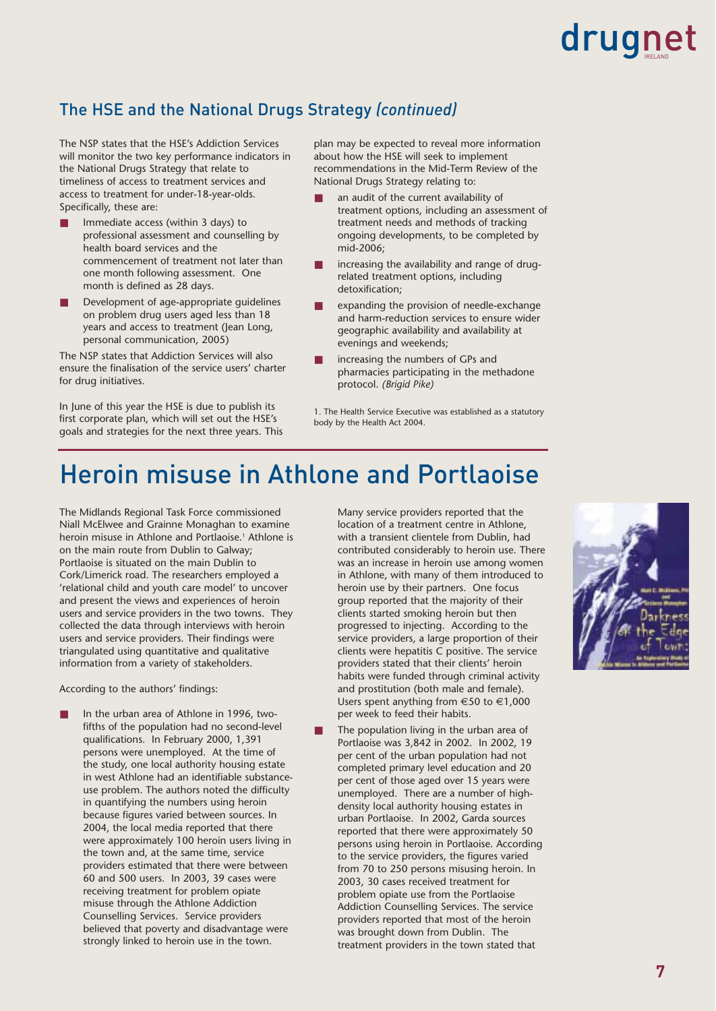#### The HSE and the National Drugs Strategy *(continued)*

The NSP states that the HSE's Addiction Services will monitor the two key performance indicators in the National Drugs Strategy that relate to timeliness of access to treatment services and access to treatment for under-18-year-olds. Specifically, these are:

- Immediate access (within 3 days) to professional assessment and counselling by health board services and the commencement of treatment not later than one month following assessment. One month is defined as 28 days.
- Development of age-appropriate guidelines on problem drug users aged less than 18 years and access to treatment (Jean Long, personal communication, 2005)

The NSP states that Addiction Services will also ensure the finalisation of the service users' charter for drug initiatives.

In June of this year the HSE is due to publish its first corporate plan, which will set out the HSE's goals and strategies for the next three years. This plan may be expected to reveal more information about how the HSE will seek to implement recommendations in the Mid-Term Review of the National Drugs Strategy relating to:

- an audit of the current availability of treatment options, including an assessment of treatment needs and methods of tracking ongoing developments, to be completed by mid-2006;
- increasing the availability and range of drugrelated treatment options, including detoxification;
- expanding the provision of needle-exchange and harm-reduction services to ensure wider geographic availability and availability at evenings and weekends;
- increasing the numbers of GPs and pharmacies participating in the methadone protocol. *(Brigid Pike)*

1. The Health Service Executive was established as a statutory body by the Health Act 2004.

### Heroin misuse in Athlone and Portlaoise

The Midlands Regional Task Force commissioned Niall McElwee and Grainne Monaghan to examine heroin misuse in Athlone and Portlaoise.<sup>1</sup> Athlone is on the main route from Dublin to Galway; Portlaoise is situated on the main Dublin to Cork/Limerick road. The researchers employed a 'relational child and youth care model' to uncover and present the views and experiences of heroin users and service providers in the two towns. They collected the data through interviews with heroin users and service providers. Their findings were triangulated using quantitative and qualitative information from a variety of stakeholders.

According to the authors' findings:

In the urban area of Athlone in 1996, twofifths of the population had no second-level qualifications. In February 2000, 1,391 persons were unemployed. At the time of the study, one local authority housing estate in west Athlone had an identifiable substanceuse problem. The authors noted the difficulty in quantifying the numbers using heroin because figures varied between sources. In 2004, the local media reported that there were approximately 100 heroin users living in the town and, at the same time, service providers estimated that there were between 60 and 500 users. In 2003, 39 cases were receiving treatment for problem opiate misuse through the Athlone Addiction Counselling Services. Service providers believed that poverty and disadvantage were strongly linked to heroin use in the town.

Many service providers reported that the location of a treatment centre in Athlone, with a transient clientele from Dublin, had contributed considerably to heroin use. There was an increase in heroin use among women in Athlone, with many of them introduced to heroin use by their partners. One focus group reported that the majority of their clients started smoking heroin but then progressed to injecting. According to the service providers, a large proportion of their clients were hepatitis C positive. The service providers stated that their clients' heroin habits were funded through criminal activity and prostitution (both male and female). Users spent anything from €50 to €1,000 per week to feed their habits.

The population living in the urban area of Portlaoise was 3,842 in 2002. In 2002, 19 per cent of the urban population had not completed primary level education and 20 per cent of those aged over 15 years were unemployed. There are a number of highdensity local authority housing estates in urban Portlaoise. In 2002, Garda sources reported that there were approximately 50 persons using heroin in Portlaoise. According to the service providers, the figures varied from 70 to 250 persons misusing heroin. In 2003, 30 cases received treatment for problem opiate use from the Portlaoise Addiction Counselling Services. The service providers reported that most of the heroin was brought down from Dublin. The treatment providers in the town stated that

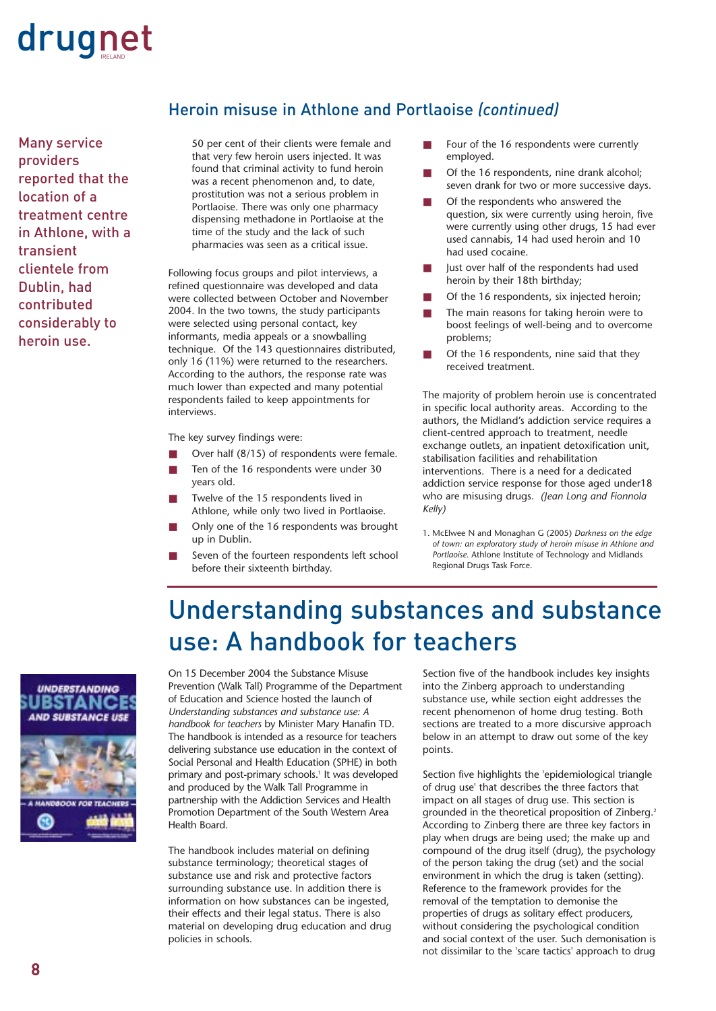

Many service providers reported that the location of a treatment centre in Athlone, with a transient clientele from Dublin, had contributed considerably to heroin use.

#### Heroin misuse in Athlone and Portlaoise *(continued)*

50 per cent of their clients were female and that very few heroin users injected. It was found that criminal activity to fund heroin was a recent phenomenon and, to date, prostitution was not a serious problem in Portlaoise. There was only one pharmacy dispensing methadone in Portlaoise at the time of the study and the lack of such pharmacies was seen as a critical issue.

Following focus groups and pilot interviews, a refined questionnaire was developed and data were collected between October and November 2004. In the two towns, the study participants were selected using personal contact, key informants, media appeals or a snowballing technique. Of the 143 questionnaires distributed, only 16 (11%) were returned to the researchers. According to the authors, the response rate was much lower than expected and many potential respondents failed to keep appointments for interviews.

The key survey findings were:

- Over half  $(8/15)$  of respondents were female.
- Ten of the 16 respondents were under 30 years old.
- Twelve of the 15 respondents lived in Athlone, while only two lived in Portlaoise.
- Only one of the 16 respondents was brought up in Dublin.
- Seven of the fourteen respondents left school before their sixteenth birthday.
- Four of the 16 respondents were currently employed.
- Of the 16 respondents, nine drank alcohol; seven drank for two or more successive days.
- Of the respondents who answered the question, six were currently using heroin, five were currently using other drugs, 15 had ever used cannabis, 14 had used heroin and 10 had used cocaine.
- lust over half of the respondents had used heroin by their 18th birthday;
- Of the 16 respondents, six injected heroin;
- The main reasons for taking heroin were to boost feelings of well-being and to overcome problems;
- Of the 16 respondents, nine said that they received treatment.

The majority of problem heroin use is concentrated in specific local authority areas. According to the authors, the Midland's addiction service requires a client-centred approach to treatment, needle exchange outlets, an inpatient detoxification unit, stabilisation facilities and rehabilitation interventions. There is a need for a dedicated addiction service response for those aged under18 who are misusing drugs. *(Jean Long and Fionnola Kelly)*

1. McElwee N and Monaghan G (2005) *Darkness on the edge of town: an exploratory study of heroin misuse in Athlone and Portlaoise.* Athlone Institute of Technology and Midlands Regional Drugs Task Force.

### Understanding substances and substance use: A handbook for teachers



On 15 December 2004 the Substance Misuse Prevention (Walk Tall) Programme of the Department of Education and Science hosted the launch of *Understanding substances and substance use: A handbook for teachers* by Minister Mary Hanafin TD. The handbook is intended as a resource for teachers delivering substance use education in the context of Social Personal and Health Education (SPHE) in both primary and post-primary schools.<sup>1</sup> It was developed and produced by the Walk Tall Programme in partnership with the Addiction Services and Health Promotion Department of the South Western Area Health Board.

The handbook includes material on defining substance terminology; theoretical stages of substance use and risk and protective factors surrounding substance use. In addition there is information on how substances can be ingested, their effects and their legal status. There is also material on developing drug education and drug policies in schools.

Section five of the handbook includes key insights into the Zinberg approach to understanding substance use, while section eight addresses the recent phenomenon of home drug testing. Both sections are treated to a more discursive approach below in an attempt to draw out some of the key points.

Section five highlights the 'epidemiological triangle of drug use' that describes the three factors that impact on all stages of drug use. This section is grounded in the theoretical proposition of Zinberg.2 According to Zinberg there are three key factors in play when drugs are being used; the make up and compound of the drug itself (drug), the psychology of the person taking the drug (set) and the social environment in which the drug is taken (setting). Reference to the framework provides for the removal of the temptation to demonise the properties of drugs as solitary effect producers, without considering the psychological condition and social context of the user. Such demonisation is not dissimilar to the 'scare tactics' approach to drug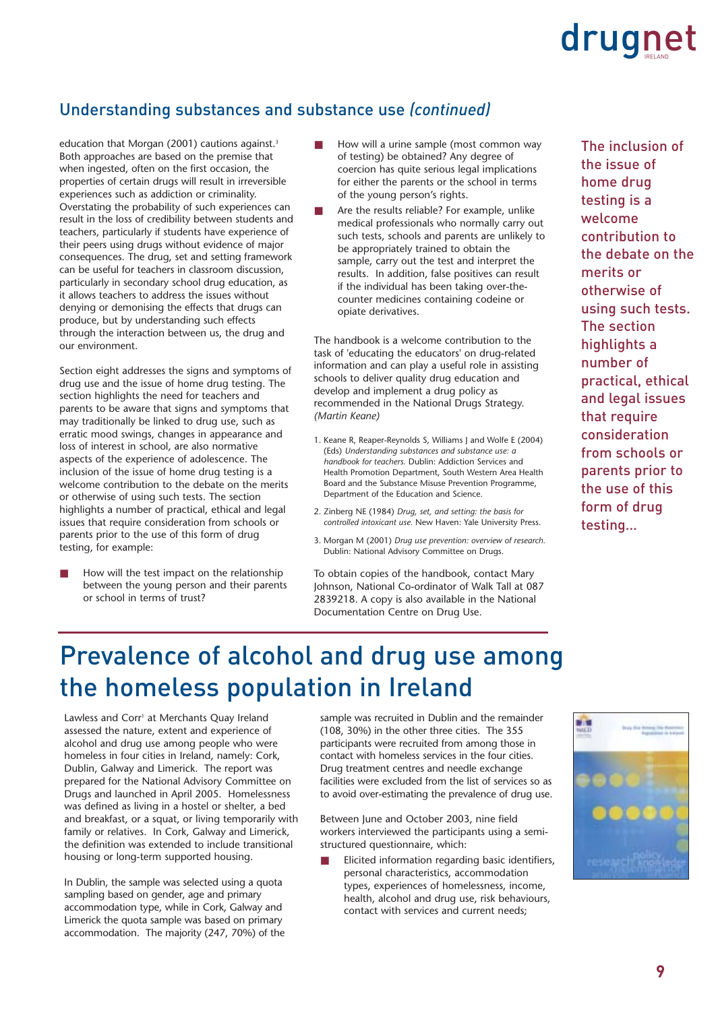#### Understanding substances and substance use *(continued)*

education that Morgan (2001) cautions against.<sup>3</sup> Both approaches are based on the premise that when ingested, often on the first occasion, the properties of certain drugs will result in irreversible experiences such as addiction or criminality. Overstating the probability of such experiences can result in the loss of credibility between students and teachers, particularly if students have experience of their peers using drugs without evidence of major consequences. The drug, set and setting framework can be useful for teachers in classroom discussion, particularly in secondary school drug education, as it allows teachers to address the issues without denying or demonising the effects that drugs can produce, but by understanding such effects through the interaction between us, the drug and our environment.

Section eight addresses the signs and symptoms of drug use and the issue of home drug testing. The section highlights the need for teachers and parents to be aware that signs and symptoms that may traditionally be linked to drug use, such as erratic mood swings, changes in appearance and loss of interest in school, are also normative aspects of the experience of adolescence. The inclusion of the issue of home drug testing is a welcome contribution to the debate on the merits or otherwise of using such tests. The section highlights a number of practical, ethical and legal issues that require consideration from schools or parents prior to the use of this form of drug testing, for example:

How will the test impact on the relationship between the young person and their parents or school in terms of trust?

- How will a urine sample (most common way of testing) be obtained? Any degree of coercion has quite serious legal implications for either the parents or the school in terms of the young person's rights.
- Are the results reliable? For example, unlike medical professionals who normally carry out such tests, schools and parents are unlikely to be appropriately trained to obtain the sample, carry out the test and interpret the results. In addition, false positives can result if the individual has been taking over-thecounter medicines containing codeine or opiate derivatives.

The handbook is a welcome contribution to the task of 'educating the educators' on drug-related information and can play a useful role in assisting schools to deliver quality drug education and develop and implement a drug policy as recommended in the National Drugs Strategy. *(Martin Keane)*

- 1. Keane R, Reaper-Reynolds S, Williams J and Wolfe E (2004) (Eds) *Understanding substances and substance use: a handbook for teachers.* Dublin: Addiction Services and Health Promotion Department, South Western Area Health Board and the Substance Misuse Prevention Programme, Department of the Education and Science.
- 2. Zinberg NE (1984) *Drug, set, and setting: the basis for controlled intoxicant use.* New Haven: Yale University Press.
- 3. Morgan M (2001) *Drug use prevention: overview of research.* Dublin: National Advisory Committee on Drugs.

To obtain copies of the handbook, contact Mary Johnson, National Co-ordinator of Walk Tall at 087 2839218. A copy is also available in the National Documentation Centre on Drug Use.

The inclusion of the issue of home drug testing is a welcome contribution to the debate on the merits or otherwise of using such tests. The section highlights a number of practical, ethical and legal issues that require consideration from schools or parents prior to the use of this form of drug testing…

### Prevalence of alcohol and drug use among the homeless population in Ireland

Lawless and Corr<sup>1</sup> at Merchants Quay Ireland assessed the nature, extent and experience of alcohol and drug use among people who were homeless in four cities in Ireland, namely: Cork, Dublin, Galway and Limerick. The report was prepared for the National Advisory Committee on Drugs and launched in April 2005. Homelessness was defined as living in a hostel or shelter, a bed and breakfast, or a squat, or living temporarily with family or relatives. In Cork, Galway and Limerick, the definition was extended to include transitional housing or long-term supported housing.

In Dublin, the sample was selected using a quota sampling based on gender, age and primary accommodation type, while in Cork, Galway and Limerick the quota sample was based on primary accommodation. The majority (247, 70%) of the sample was recruited in Dublin and the remainder (108, 30%) in the other three cities. The 355 participants were recruited from among those in contact with homeless services in the four cities. Drug treatment centres and needle exchange facilities were excluded from the list of services so as to avoid over-estimating the prevalence of drug use.

Between June and October 2003, nine field workers interviewed the participants using a semistructured questionnaire, which:

Elicited information regarding basic identifiers, personal characteristics, accommodation types, experiences of homelessness, income, health, alcohol and drug use, risk behaviours, contact with services and current needs;

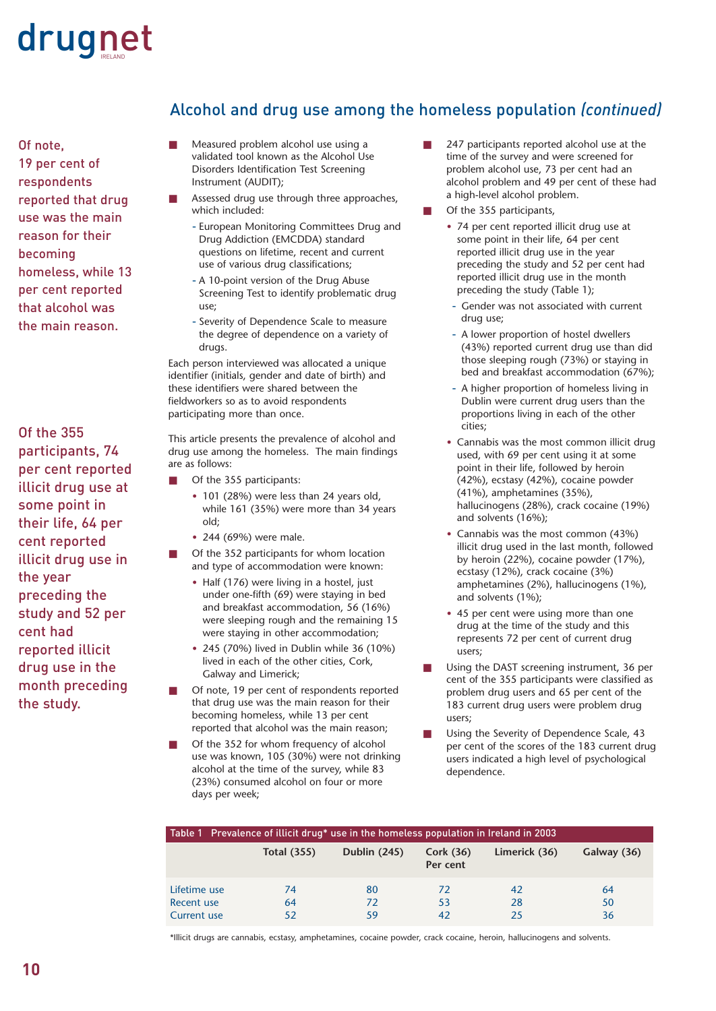Of note, 19 per cent of respondents reported that drug use was the main reason for their becoming homeless, while 13 per cent reported that alcohol was the main reason.

Of the 355 participants, 74 per cent reported illicit drug use at some point in their life, 64 per cent reported illicit drug use in the year preceding the study and 52 per cent had reported illicit drug use in the month preceding the study.

#### Alcohol and drug use among the homeless population *(continued)*

- Measured problem alcohol use using a validated tool known as the Alcohol Use Disorders Identification Test Screening Instrument (AUDIT);
- Assessed drug use through three approaches, which included:
	- European Monitoring Committees Drug and Drug Addiction (EMCDDA) standard questions on lifetime, recent and current use of various drug classifications;
	- A 10-point version of the Drug Abuse Screening Test to identify problematic drug use;
	- Severity of Dependence Scale to measure the degree of dependence on a variety of drugs.

Each person interviewed was allocated a unique identifier (initials, gender and date of birth) and these identifiers were shared between the fieldworkers so as to avoid respondents participating more than once.

This article presents the prevalence of alcohol and drug use among the homeless. The main findings are as follows:

- Of the 355 participants:
	- 101 (28%) were less than 24 years old, while 161 (35%) were more than 34 years old;
	- 244 (69%) were male.
- Of the 352 participants for whom location and type of accommodation were known:
	- Half (176) were living in a hostel, just under one-fifth (69) were staying in bed and breakfast accommodation, 56 (16%) were sleeping rough and the remaining 15 were staying in other accommodation;
	- 245 (70%) lived in Dublin while 36 (10%) lived in each of the other cities, Cork, Galway and Limerick;
- Of note, 19 per cent of respondents reported that drug use was the main reason for their becoming homeless, while 13 per cent reported that alcohol was the main reason;
- Of the 352 for whom frequency of alcohol use was known, 105 (30%) were not drinking alcohol at the time of the survey, while 83 (23%) consumed alcohol on four or more days per week;
- 247 participants reported alcohol use at the time of the survey and were screened for problem alcohol use, 73 per cent had an alcohol problem and 49 per cent of these had a high-level alcohol problem.
- Of the 355 participants,
	- 74 per cent reported illicit drug use at some point in their life, 64 per cent reported illicit drug use in the year preceding the study and 52 per cent had reported illicit drug use in the month preceding the study (Table 1);
	- Gender was not associated with current drug use;
	- A lower proportion of hostel dwellers (43%) reported current drug use than did those sleeping rough (73%) or staying in bed and breakfast accommodation (67%);
	- A higher proportion of homeless livina in Dublin were current drug users than the proportions living in each of the other cities;
	- Cannabis was the most common illicit drug used, with 69 per cent using it at some point in their life, followed by heroin (42%), ecstasy (42%), cocaine powder (41%), amphetamines (35%), hallucinogens (28%), crack cocaine (19%) and solvents (16%);
	- Cannabis was the most common (43%) illicit drug used in the last month, followed by heroin (22%), cocaine powder (17%), ecstasy (12%), crack cocaine (3%) amphetamines (2%), hallucinogens (1%), and solvents (1%);
	- 45 per cent were using more than one drug at the time of the study and this represents 72 per cent of current drug users;
- Using the DAST screening instrument, 36 per cent of the 355 participants were classified as problem drug users and 65 per cent of the 183 current drug users were problem drug users;
- Using the Severity of Dependence Scale, 43 per cent of the scores of the 183 current drug users indicated a high level of psychological dependence.

| Table 1 Prevalence of illicit drug* use in the homeless population in Ireland in 2003 |                    |                     |                         |               |             |
|---------------------------------------------------------------------------------------|--------------------|---------------------|-------------------------|---------------|-------------|
|                                                                                       | <b>Total (355)</b> | <b>Dublin (245)</b> | Cork $(36)$<br>Per cent | Limerick (36) | Galway (36) |
| Lifetime use                                                                          | 74                 | 80                  | 72                      | 42            | 64          |
| Recent use                                                                            | 64                 | 72                  | 53                      | 28            | 50          |
| <b>Current use</b>                                                                    | 52                 | 59                  | 42                      | 25            | 36          |

\*Illicit drugs are cannabis, ecstasy, amphetamines, cocaine powder, crack cocaine, heroin, hallucinogens and solvents.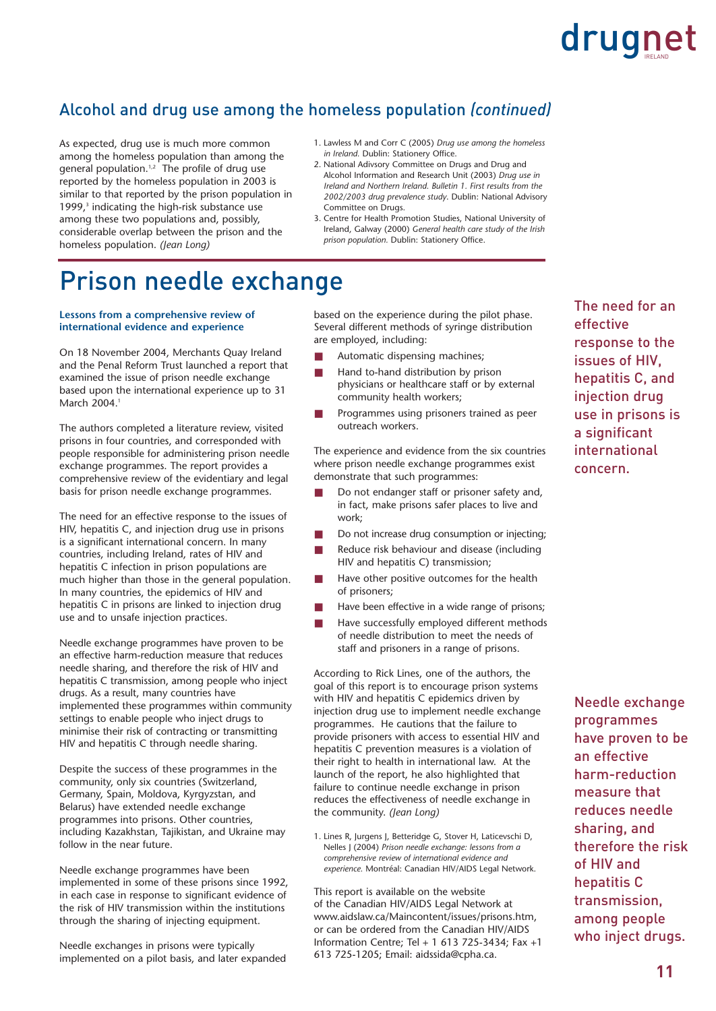#### Alcohol and drug use among the homeless population *(continued)*

As expected, drug use is much more common among the homeless population than among the general population.<sup>1,2</sup> The profile of drug use reported by the homeless population in 2003 is similar to that reported by the prison population in 1999,<sup>3</sup> indicating the high-risk substance use among these two populations and, possibly, considerable overlap between the prison and the homeless population. *(Jean Long)*

- 1. Lawless M and Corr C (2005) *Drug use among the homeless in Ireland.* Dublin: Stationery Office.
- 2. National Adivsory Committee on Drugs and Drug and Alcohol Information and Research Unit (2003) *Drug use in Ireland and Northern Ireland. Bulletin 1. First results from the 2002/2003 drug prevalence study*. Dublin: National Advisory Committee on Drugs.
- 3. Centre for Health Promotion Studies, National University of Ireland, Galway (2000) *General health care study of the Irish prison population.* Dublin: Stationery Office.

### Prison needle exchange

#### **Lessons from a comprehensive review of international evidence and experience**

On 18 November 2004, Merchants Quay Ireland and the Penal Reform Trust launched a report that examined the issue of prison needle exchange based upon the international experience up to 31 March 2004.<sup>1</sup>

The authors completed a literature review, visited prisons in four countries, and corresponded with people responsible for administering prison needle exchange programmes. The report provides a comprehensive review of the evidentiary and legal basis for prison needle exchange programmes.

The need for an effective response to the issues of HIV, hepatitis C, and injection drug use in prisons is a significant international concern. In many countries, including Ireland, rates of HIV and hepatitis C infection in prison populations are much higher than those in the general population. In many countries, the epidemics of HIV and hepatitis C in prisons are linked to injection drug use and to unsafe injection practices.

Needle exchange programmes have proven to be an effective harm-reduction measure that reduces needle sharing, and therefore the risk of HIV and hepatitis C transmission, among people who inject drugs. As a result, many countries have implemented these programmes within community settings to enable people who inject drugs to minimise their risk of contracting or transmitting HIV and hepatitis C through needle sharing.

Despite the success of these programmes in the community, only six countries (Switzerland, Germany, Spain, Moldova, Kyrgyzstan, and Belarus) have extended needle exchange programmes into prisons. Other countries, including Kazakhstan, Tajikistan, and Ukraine may follow in the near future.

Needle exchange programmes have been implemented in some of these prisons since 1992, in each case in response to significant evidence of the risk of HIV transmission within the institutions through the sharing of injecting equipment.

Needle exchanges in prisons were typically implemented on a pilot basis, and later expanded based on the experience during the pilot phase. Several different methods of syringe distribution are employed, including:

- Automatic dispensing machines;
- Hand to-hand distribution by prison physicians or healthcare staff or by external community health workers;
- Programmes using prisoners trained as peer outreach workers.

The experience and evidence from the six countries where prison needle exchange programmes exist demonstrate that such programmes:

- Do not endanger staff or prisoner safety and, in fact, make prisons safer places to live and work;
- Do not increase drug consumption or injecting;
- Reduce risk behaviour and disease (including HIV and hepatitis C) transmission;
- Have other positive outcomes for the health of prisoners;
- Have been effective in a wide range of prisons;
- Have successfully employed different methods of needle distribution to meet the needs of staff and prisoners in a range of prisons.

According to Rick Lines, one of the authors, the goal of this report is to encourage prison systems with HIV and hepatitis C epidemics driven by injection drug use to implement needle exchange programmes. He cautions that the failure to provide prisoners with access to essential HIV and hepatitis C prevention measures is a violation of their right to health in international law. At the launch of the report, he also highlighted that failure to continue needle exchange in prison reduces the effectiveness of needle exchange in the community. *(Jean Long)*

1. Lines R, Jurgens J, Betteridge G, Stover H, Laticevschi D, Nelles J (2004) *Prison needle exchange: lessons from a comprehensive review of international evidence and experience.* Montréal: Canadian HIV/AIDS Legal Network.

This report is available on the website of the Canadian HIV/AIDS Legal Network at www.aidslaw.ca/Maincontent/issues/prisons.htm, or can be ordered from the Canadian HIV/AIDS Information Centre; Tel + 1 613 725-3434; Fax +1 613 725-1205; Email: aidssida@cpha.ca.

The need for an effective response to the issues of HIV, hepatitis C, and injection drug use in prisons is a significant international concern.

Needle exchange programmes have proven to be an effective harm-reduction measure that reduces needle sharing, and therefore the risk of HIV and hepatitis C transmission, among people who inject drugs.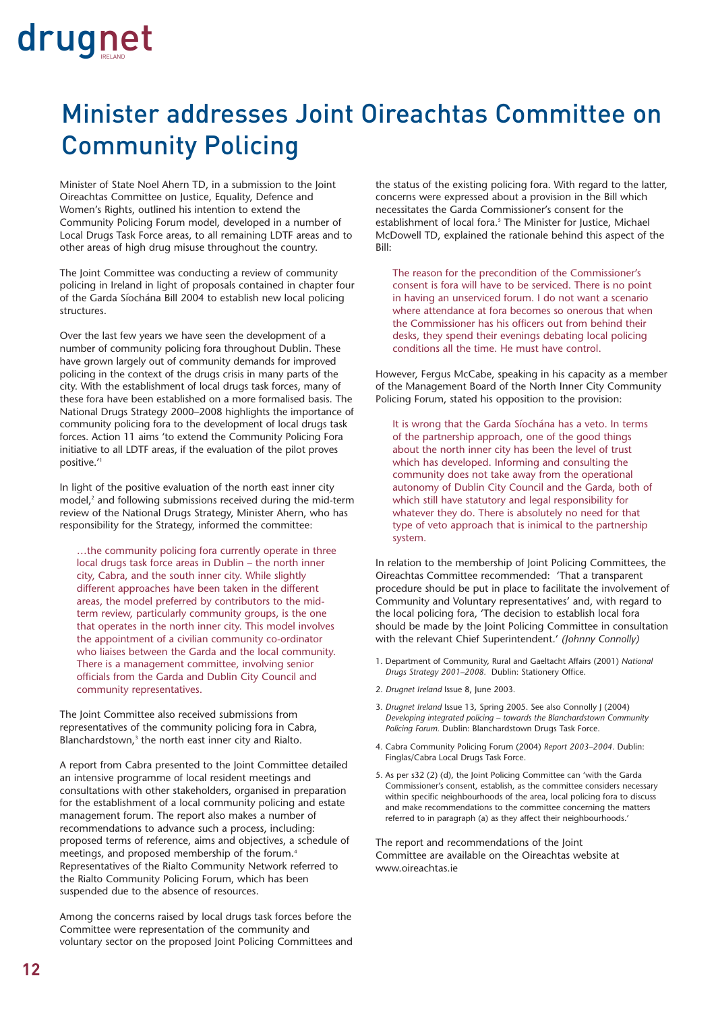## Minister addresses Joint Oireachtas Committee on Community Policing

Minister of State Noel Ahern TD, in a submission to the Joint Oireachtas Committee on Justice, Equality, Defence and Women's Rights, outlined his intention to extend the Community Policing Forum model, developed in a number of Local Drugs Task Force areas, to all remaining LDTF areas and to other areas of high drug misuse throughout the country.

The Joint Committee was conducting a review of community policing in Ireland in light of proposals contained in chapter four of the Garda Síochána Bill 2004 to establish new local policing structures.

Over the last few years we have seen the development of a number of community policing fora throughout Dublin. These have grown largely out of community demands for improved policing in the context of the drugs crisis in many parts of the city. With the establishment of local drugs task forces, many of these fora have been established on a more formalised basis. The National Drugs Strategy 2000–2008 highlights the importance of community policing fora to the development of local drugs task forces. Action 11 aims 'to extend the Community Policing Fora initiative to all LDTF areas, if the evaluation of the pilot proves positive.'1

In light of the positive evaluation of the north east inner city model,<sup>2</sup> and following submissions received during the mid-term review of the National Drugs Strategy, Minister Ahern, who has responsibility for the Strategy, informed the committee:

…the community policing fora currently operate in three local drugs task force areas in Dublin – the north inner city, Cabra, and the south inner city. While slightly different approaches have been taken in the different areas, the model preferred by contributors to the midterm review, particularly community groups, is the one that operates in the north inner city. This model involves the appointment of a civilian community co-ordinator who liaises between the Garda and the local community. There is a management committee, involving senior officials from the Garda and Dublin City Council and community representatives.

The Joint Committee also received submissions from representatives of the community policing fora in Cabra, Blanchardstown,<sup>3</sup> the north east inner city and Rialto.

A report from Cabra presented to the Joint Committee detailed an intensive programme of local resident meetings and consultations with other stakeholders, organised in preparation for the establishment of a local community policing and estate management forum. The report also makes a number of recommendations to advance such a process, including: proposed terms of reference, aims and objectives, a schedule of meetings, and proposed membership of the forum.<sup>4</sup> Representatives of the Rialto Community Network referred to the Rialto Community Policing Forum, which has been suspended due to the absence of resources.

Among the concerns raised by local drugs task forces before the Committee were representation of the community and voluntary sector on the proposed Joint Policing Committees and the status of the existing policing fora. With regard to the latter, concerns were expressed about a provision in the Bill which necessitates the Garda Commissioner's consent for the establishment of local fora.<sup>5</sup> The Minister for Justice, Michael McDowell TD, explained the rationale behind this aspect of the Bill:

The reason for the precondition of the Commissioner's consent is fora will have to be serviced. There is no point in having an unserviced forum. I do not want a scenario where attendance at fora becomes so onerous that when the Commissioner has his officers out from behind their desks, they spend their evenings debating local policing conditions all the time. He must have control.

However, Fergus McCabe, speaking in his capacity as a member of the Management Board of the North Inner City Community Policing Forum, stated his opposition to the provision:

It is wrong that the Garda Síochána has a veto. In terms of the partnership approach, one of the good things about the north inner city has been the level of trust which has developed. Informing and consulting the community does not take away from the operational autonomy of Dublin City Council and the Garda, both of which still have statutory and legal responsibility for whatever they do. There is absolutely no need for that type of veto approach that is inimical to the partnership system.

In relation to the membership of Joint Policing Committees, the Oireachtas Committee recommended: 'That a transparent procedure should be put in place to facilitate the involvement of Community and Voluntary representatives' and, with regard to the local policing fora, 'The decision to establish local fora should be made by the Joint Policing Committee in consultation with the relevant Chief Superintendent.' *(Johnny Connolly)*

- 1. Department of Community, Rural and Gaeltacht Affairs (2001) *National Drugs Strategy 2001–2008.* Dublin: Stationery Office.
- 2. *Drugnet Ireland* Issue 8, June 2003.
- 3. *Drugnet Ireland* Issue 13, Spring 2005. See also Connolly J (2004) *Developing integrated policing – towards the Blanchardstown Community Policing Forum.* Dublin: Blanchardstown Drugs Task Force.
- 4. Cabra Community Policing Forum (2004) *Report 2003–2004.* Dublin: Finglas/Cabra Local Drugs Task Force.
- 5. As per s32 (2) (d), the Joint Policing Committee can 'with the Garda Commissioner's consent, establish, as the committee considers necessary within specific neighbourhoods of the area, local policing fora to discuss and make recommendations to the committee concerning the matters referred to in paragraph (a) as they affect their neighbourhoods.'

The report and recommendations of the Joint Committee are available on the Oireachtas website at www.oireachtas.ie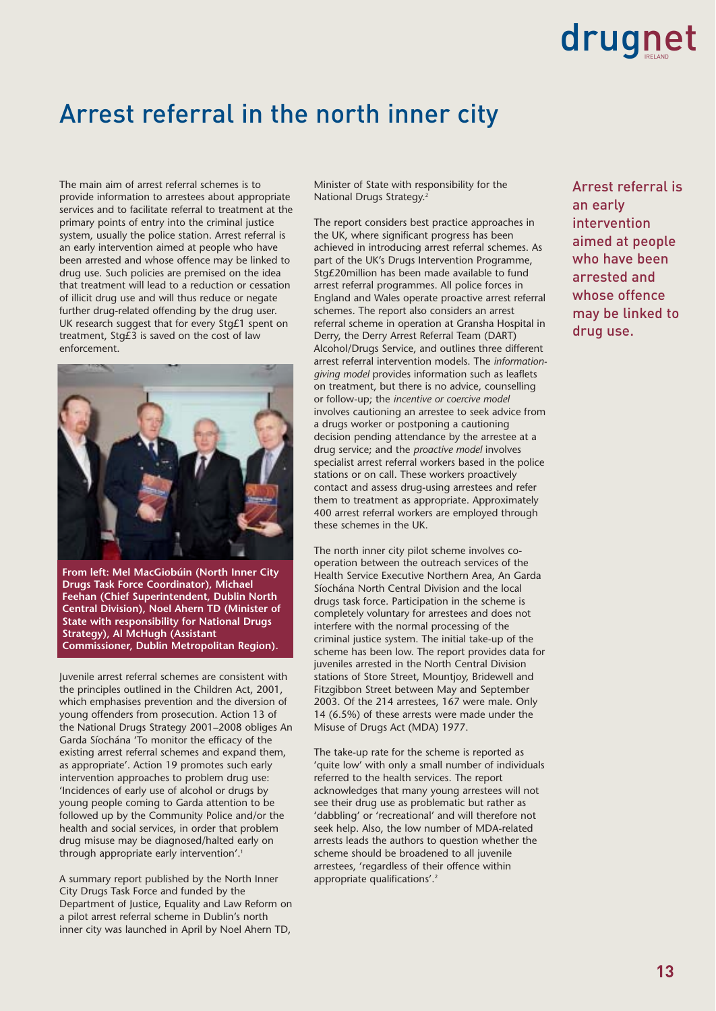### Arrest referral in the north inner city

The main aim of arrest referral schemes is to provide information to arrestees about appropriate services and to facilitate referral to treatment at the primary points of entry into the criminal justice system, usually the police station. Arrest referral is an early intervention aimed at people who have been arrested and whose offence may be linked to drug use. Such policies are premised on the idea that treatment will lead to a reduction or cessation of illicit drug use and will thus reduce or negate further drug-related offending by the drug user. UK research suggest that for every Stg£1 spent on treatment, Stg£3 is saved on the cost of law enforcement.



**From left: Mel MacGiobúin (North Inner City Drugs Task Force Coordinator), Michael Feehan (Chief Superintendent, Dublin North Central Division), Noel Ahern TD (Minister of State with responsibility for National Drugs Strategy), Al McHugh (Assistant Commissioner, Dublin Metropolitan Region).**

Juvenile arrest referral schemes are consistent with the principles outlined in the Children Act, 2001, which emphasises prevention and the diversion of young offenders from prosecution. Action 13 of the National Drugs Strategy 2001–2008 obliges An Garda Síochána 'To monitor the efficacy of the existing arrest referral schemes and expand them, as appropriate'. Action 19 promotes such early intervention approaches to problem drug use: 'Incidences of early use of alcohol or drugs by young people coming to Garda attention to be followed up by the Community Police and/or the health and social services, in order that problem drug misuse may be diagnosed/halted early on through appropriate early intervention'.<sup>1</sup>

A summary report published by the North Inner City Drugs Task Force and funded by the Department of Justice, Equality and Law Reform on a pilot arrest referral scheme in Dublin's north inner city was launched in April by Noel Ahern TD,

Minister of State with responsibility for the National Drugs Strategy.2

The report considers best practice approaches in the UK, where significant progress has been achieved in introducing arrest referral schemes. As part of the UK's Drugs Intervention Programme, Stg£20million has been made available to fund arrest referral programmes. All police forces in England and Wales operate proactive arrest referral schemes. The report also considers an arrest referral scheme in operation at Gransha Hospital in Derry, the Derry Arrest Referral Team (DART) Alcohol/Drugs Service, and outlines three different arrest referral intervention models. The *informationgiving model* provides information such as leaflets on treatment, but there is no advice, counselling or follow-up; the *incentive or coercive model* involves cautioning an arrestee to seek advice from a drugs worker or postponing a cautioning decision pending attendance by the arrestee at a drug service; and the *proactive model* involves specialist arrest referral workers based in the police stations or on call. These workers proactively contact and assess drug-using arrestees and refer them to treatment as appropriate. Approximately 400 arrest referral workers are employed through these schemes in the UK.

The north inner city pilot scheme involves cooperation between the outreach services of the Health Service Executive Northern Area, An Garda Síochána North Central Division and the local drugs task force. Participation in the scheme is completely voluntary for arrestees and does not interfere with the normal processing of the criminal justice system. The initial take-up of the scheme has been low. The report provides data for juveniles arrested in the North Central Division stations of Store Street, Mountjoy, Bridewell and Fitzgibbon Street between May and September 2003. Of the 214 arrestees, 167 were male. Only 14 (6.5%) of these arrests were made under the Misuse of Drugs Act (MDA) 1977.

The take-up rate for the scheme is reported as 'quite low' with only a small number of individuals referred to the health services. The report acknowledges that many young arrestees will not see their drug use as problematic but rather as 'dabbling' or 'recreational' and will therefore not seek help. Also, the low number of MDA-related arrests leads the authors to question whether the scheme should be broadened to all juvenile arrestees, 'regardless of their offence within appropriate qualifications'.2

Arrest referral is an early intervention aimed at people who have been arrested and whose offence may be linked to drug use.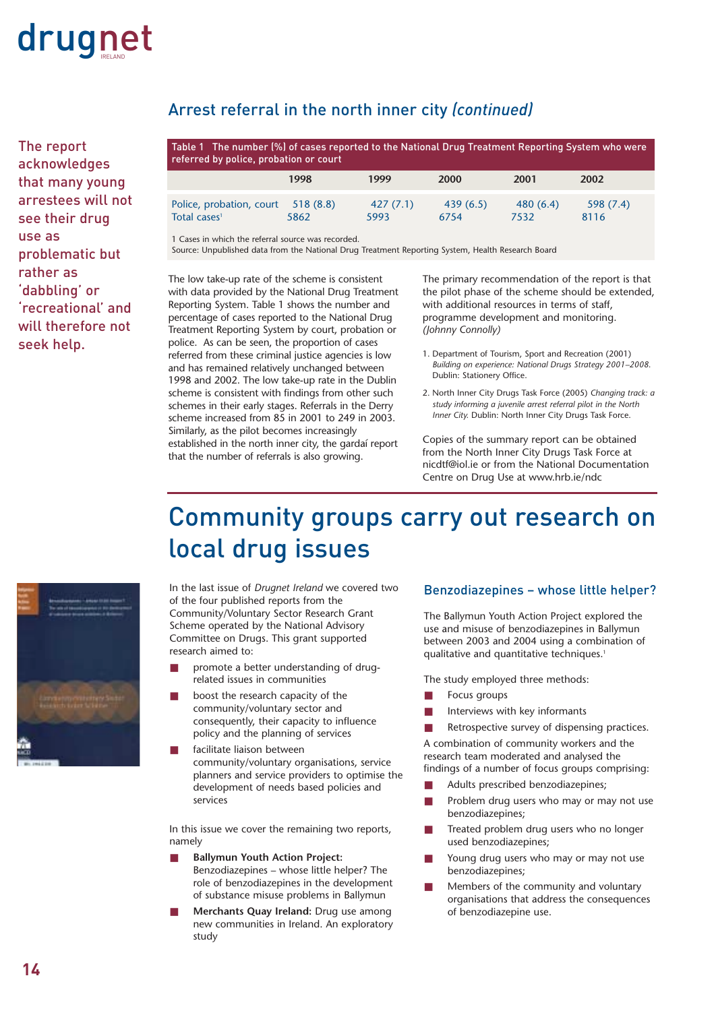

The report acknowledges that many young arrestees will not see their drug use as problematic but rather as 'dabbling' or 'recreational' and will therefore not seek help.

#### Arrest referral in the north inner city *(continued)*

| Table 1 The number (%) of cases reported to the National Drug Treatment Reporting System who were<br>referred by police, probation or court |                  |                  |                  |                  |                  |
|---------------------------------------------------------------------------------------------------------------------------------------------|------------------|------------------|------------------|------------------|------------------|
|                                                                                                                                             | 1998             | 1999             | <b>2000</b>      | 2001             | 2002             |
| Police, probation, court<br>Total cases <sup>1</sup>                                                                                        | 518(8.8)<br>5862 | 427(7.1)<br>5993 | 439(6.5)<br>6754 | 480(6.4)<br>7532 | 598(7.4)<br>8116 |

1 Cases in which the referral source was recorded.

Source: Unpublished data from the National Drug Treatment Reporting System, Health Research Board

The low take-up rate of the scheme is consistent with data provided by the National Drug Treatment Reporting System. Table 1 shows the number and percentage of cases reported to the National Drug Treatment Reporting System by court, probation or police. As can be seen, the proportion of cases referred from these criminal justice agencies is low and has remained relatively unchanged between 1998 and 2002. The low take-up rate in the Dublin scheme is consistent with findings from other such schemes in their early stages. Referrals in the Derry scheme increased from 85 in 2001 to 249 in 2003. Similarly, as the pilot becomes increasingly established in the north inner city, the gardaí report that the number of referrals is also growing.

The primary recommendation of the report is that the pilot phase of the scheme should be extended, with additional resources in terms of staff, programme development and monitoring. *(Johnny Connolly)*

- 1. Department of Tourism, Sport and Recreation (2001) *Building on experience: National Drugs Strategy 2001–2008.* Dublin: Stationery Office.
- 2. North Inner City Drugs Task Force (2005) *Changing track: a study informing a juvenile arrest referral pilot in the North Inner City.* Dublin: North Inner City Drugs Task Force.

Copies of the summary report can be obtained from the North Inner City Drugs Task Force at nicdtf@iol.ie or from the National Documentation Centre on Drug Use at www.hrb.ie/ndc

### Community groups carry out research on local drug issues



In the last issue of *Drugnet Ireland* we covered two of the four published reports from the Community/Voluntary Sector Research Grant Scheme operated by the National Advisory Committee on Drugs. This grant supported research aimed to:

- promote a better understanding of drugrelated issues in communities
- boost the research capacity of the community/voluntary sector and consequently, their capacity to influence policy and the planning of services
- facilitate liaison between community/voluntary organisations, service planners and service providers to optimise the development of needs based policies and services

In this issue we cover the remaining two reports, namely

- **Ballymun Youth Action Project:** Benzodiazepines – whose little helper? The role of benzodiazepines in the development of substance misuse problems in Ballymun
- **Merchants Quay Ireland:** Drug use among new communities in Ireland. An exploratory study

#### Benzodiazepines – whose little helper?

The Ballymun Youth Action Project explored the use and misuse of benzodiazepines in Ballymun between 2003 and 2004 using a combination of qualitative and quantitative techniques.<sup>1</sup>

The study employed three methods:

- Focus groups
- Interviews with key informants
- Retrospective survey of dispensing practices.

A combination of community workers and the research team moderated and analysed the findings of a number of focus groups comprising:

- Adults prescribed benzodiazepines;
- Problem drug users who may or may not use benzodiazepines;
- Treated problem drug users who no longer used benzodiazepines;
- Young drug users who may or may not use benzodiazepines;
- Members of the community and voluntary organisations that address the consequences of benzodiazepine use.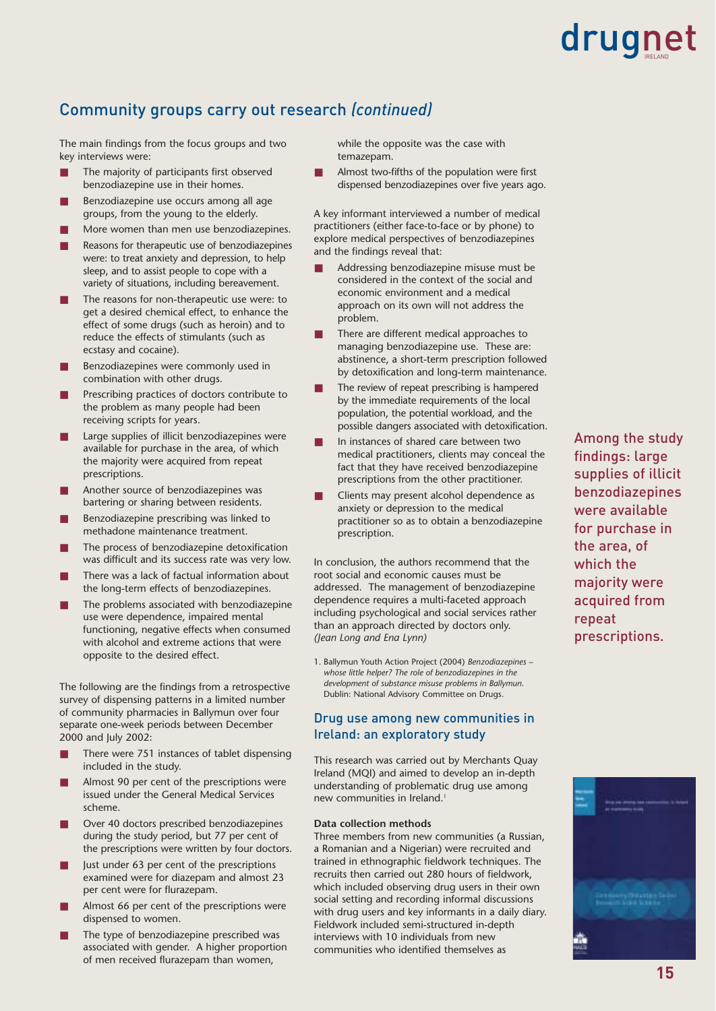#### Community groups carry out research *(continued)*

The main findings from the focus groups and two key interviews were:

- The majority of participants first observed benzodiazepine use in their homes.
- Benzodiazepine use occurs among all age groups, from the young to the elderly.
- More women than men use benzodiazepines.
- Reasons for therapeutic use of benzodiazepines were: to treat anxiety and depression, to help sleep, and to assist people to cope with a variety of situations, including bereavement.
- The reasons for non-therapeutic use were: to get a desired chemical effect, to enhance the effect of some drugs (such as heroin) and to reduce the effects of stimulants (such as ecstasy and cocaine).
- Benzodiazepines were commonly used in combination with other drugs.
- Prescribing practices of doctors contribute to the problem as many people had been receiving scripts for years.
- Large supplies of illicit benzodiazepines were available for purchase in the area, of which the majority were acquired from repeat prescriptions.
- Another source of benzodiazepines was bartering or sharing between residents.
- Benzodiazepine prescribing was linked to methadone maintenance treatment.
- The process of benzodiazepine detoxification was difficult and its success rate was very low.
- There was a lack of factual information about the long-term effects of benzodiazepines.
- The problems associated with benzodiazepine use were dependence, impaired mental functioning, negative effects when consumed with alcohol and extreme actions that were opposite to the desired effect.

The following are the findings from a retrospective survey of dispensing patterns in a limited number of community pharmacies in Ballymun over four separate one-week periods between December 2000 and July 2002:

- There were 751 instances of tablet dispensing included in the study.
- Almost 90 per cent of the prescriptions were issued under the General Medical Services scheme.
- Over 40 doctors prescribed benzodiazepines during the study period, but 77 per cent of the prescriptions were written by four doctors.
- Just under 63 per cent of the prescriptions examined were for diazepam and almost 23 per cent were for flurazepam.
- Almost 66 per cent of the prescriptions were dispensed to women.
- The type of benzodiazepine prescribed was associated with gender. A higher proportion of men received flurazepam than women,

while the opposite was the case with temazepam.

Almost two-fifths of the population were first dispensed benzodiazepines over five years ago.

A key informant interviewed a number of medical practitioners (either face-to-face or by phone) to explore medical perspectives of benzodiazepines and the findings reveal that:

- Addressing benzodiazepine misuse must be considered in the context of the social and economic environment and a medical approach on its own will not address the problem.
- There are different medical approaches to managing benzodiazepine use. These are: abstinence, a short-term prescription followed by detoxification and long-term maintenance.
- The review of repeat prescribing is hampered by the immediate requirements of the local population, the potential workload, and the possible dangers associated with detoxification.
- In instances of shared care between two medical practitioners, clients may conceal the fact that they have received benzodiazepine prescriptions from the other practitioner.
- Clients may present alcohol dependence as anxiety or depression to the medical practitioner so as to obtain a benzodiazepine prescription.

In conclusion, the authors recommend that the root social and economic causes must be addressed. The management of benzodiazepine dependence requires a multi-faceted approach including psychological and social services rather than an approach directed by doctors only. *(Jean Long and Ena Lynn)*

1. Ballymun Youth Action Project (2004) *Benzodiazepines – whose little helper? The role of benzodiazepines in the development of substance misuse problems in Ballymun.* Dublin: National Advisory Committee on Drugs.

#### Drug use among new communities in Ireland: an exploratory study

This research was carried out by Merchants Quay Ireland (MQI) and aimed to develop an in-depth understanding of problematic drug use among new communities in Ireland.<sup>1</sup>

#### **Data collection methods**

Three members from new communities (a Russian, a Romanian and a Nigerian) were recruited and trained in ethnographic fieldwork techniques. The recruits then carried out 280 hours of fieldwork, which included observing drug users in their own social setting and recording informal discussions with drug users and key informants in a daily diary. Fieldwork included semi-structured in-depth interviews with 10 individuals from new communities who identified themselves as

Among the study findings: large supplies of illicit benzodiazepines were available for purchase in the area, of which the majority were acquired from repeat prescriptions.

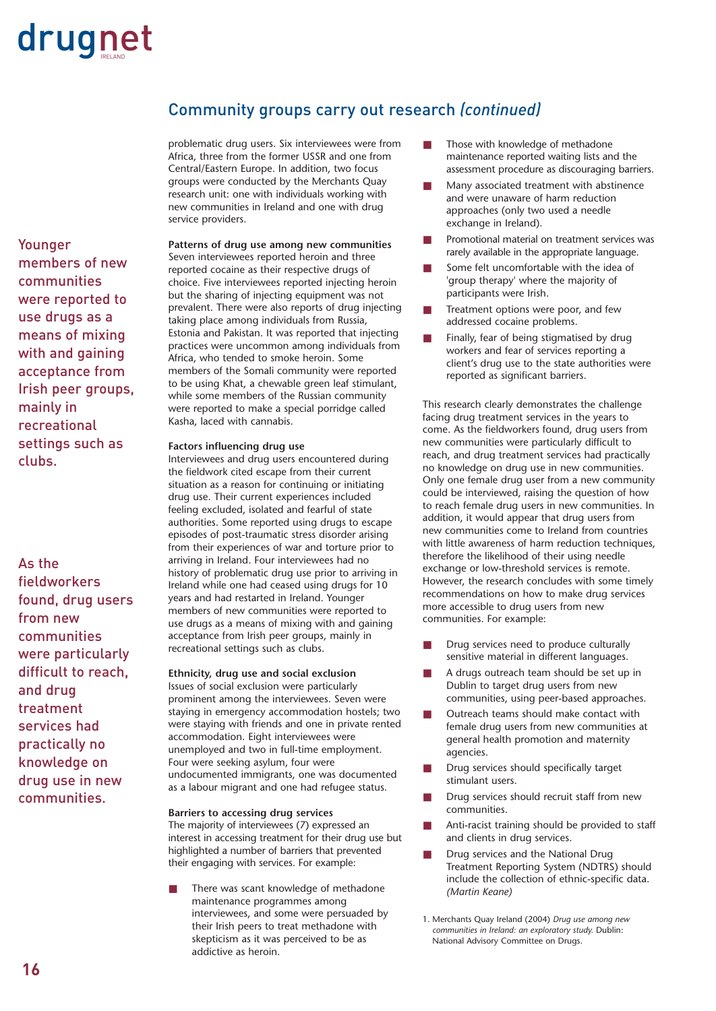#### Community groups carry out research *(continued)*

problematic drug users. Six interviewees were from Africa, three from the former USSR and one from Central/Eastern Europe. In addition, two focus groups were conducted by the Merchants Quay research unit: one with individuals working with new communities in Ireland and one with drug service providers.

Younger members of new communities were reported to use drugs as a means of mixing with and gaining acceptance from Irish peer groups, mainly in recreational settings such as clubs.

As the fieldworkers found, drug users from new communities were particularly difficult to reach, and drug treatment services had practically no knowledge on drug use in new communities.

#### **Patterns of drug use among new communities** Seven interviewees reported heroin and three reported cocaine as their respective drugs of choice. Five interviewees reported injecting heroin but the sharing of injecting equipment was not prevalent. There were also reports of drug injecting taking place among individuals from Russia, Estonia and Pakistan. It was reported that injecting practices were uncommon among individuals from Africa, who tended to smoke heroin. Some members of the Somali community were reported to be using Khat, a chewable green leaf stimulant, while some members of the Russian community were reported to make a special porridge called Kasha, laced with cannabis.

#### **Factors influencing drug use**

Interviewees and drug users encountered during the fieldwork cited escape from their current situation as a reason for continuing or initiating drug use. Their current experiences included feeling excluded, isolated and fearful of state authorities. Some reported using drugs to escape episodes of post-traumatic stress disorder arising from their experiences of war and torture prior to arriving in Ireland. Four interviewees had no history of problematic drug use prior to arriving in Ireland while one had ceased using drugs for 10 years and had restarted in Ireland. Younger members of new communities were reported to use drugs as a means of mixing with and gaining acceptance from Irish peer groups, mainly in recreational settings such as clubs.

#### **Ethnicity, drug use and social exclusion**

Issues of social exclusion were particularly prominent among the interviewees. Seven were staying in emergency accommodation hostels; two were staying with friends and one in private rented accommodation. Eight interviewees were unemployed and two in full-time employment. Four were seeking asylum, four were undocumented immigrants, one was documented as a labour migrant and one had refugee status.

#### **Barriers to accessing drug services**

The majority of interviewees (7) expressed an interest in accessing treatment for their drug use but highlighted a number of barriers that prevented their engaging with services. For example:

There was scant knowledge of methadone maintenance programmes among interviewees, and some were persuaded by their Irish peers to treat methadone with skepticism as it was perceived to be as addictive as heroin.

- Those with knowledge of methadone maintenance reported waiting lists and the assessment procedure as discouraging barriers.
- Many associated treatment with abstinence and were unaware of harm reduction approaches (only two used a needle exchange in Ireland).
- Promotional material on treatment services was rarely available in the appropriate language.
- Some felt uncomfortable with the idea of 'group therapy' where the majority of participants were Irish.
- Treatment options were poor, and few addressed cocaine problems.
- Finally, fear of being stigmatised by drug workers and fear of services reporting a client's drug use to the state authorities were reported as significant barriers.

This research clearly demonstrates the challenge facing drug treatment services in the years to come. As the fieldworkers found, drug users from new communities were particularly difficult to reach, and drug treatment services had practically no knowledge on drug use in new communities. Only one female drug user from a new community could be interviewed, raising the question of how to reach female drug users in new communities. In addition, it would appear that drug users from new communities come to Ireland from countries with little awareness of harm reduction techniques, therefore the likelihood of their using needle exchange or low-threshold services is remote. However, the research concludes with some timely recommendations on how to make drug services more accessible to drug users from new communities. For example:

- Drug services need to produce culturally sensitive material in different languages.
- A drugs outreach team should be set up in Dublin to target drug users from new communities, using peer-based approaches.
- Outreach teams should make contact with female drug users from new communities at general health promotion and maternity agencies.
- Drug services should specifically target stimulant users.
- Drug services should recruit staff from new communities.
- Anti-racist training should be provided to staff and clients in drug services.
- Drug services and the National Drug Treatment Reporting System (NDTRS) should include the collection of ethnic-specific data. *(Martin Keane)*
- 1. Merchants Quay Ireland (2004) *Drug use among new communities in Ireland: an exploratory study.* Dublin: National Advisory Committee on Drugs.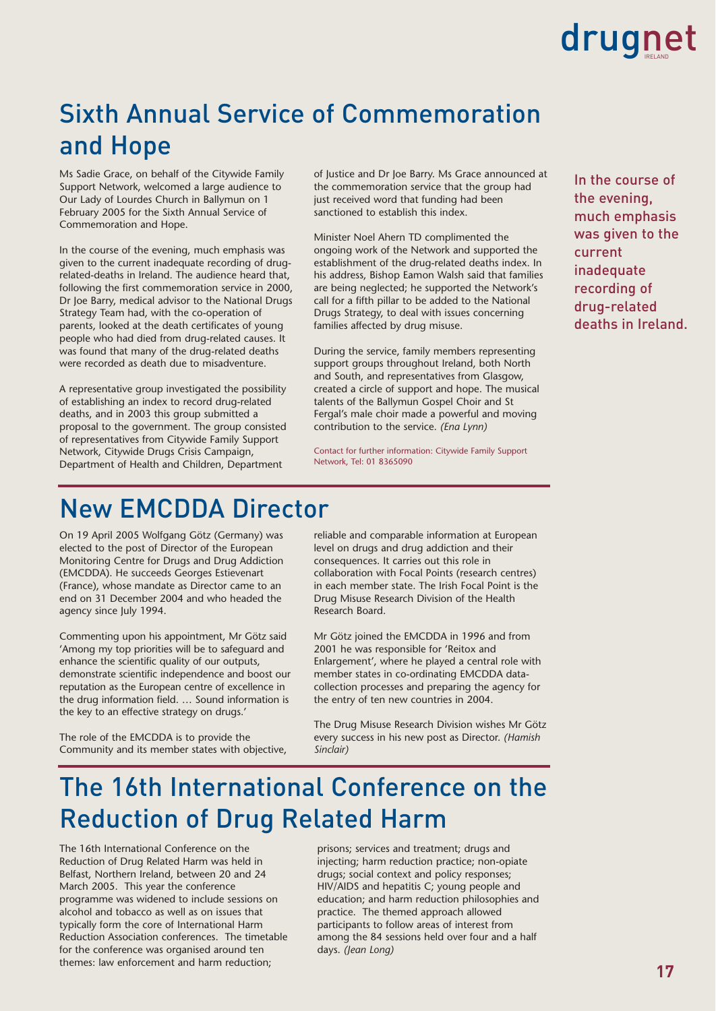### Sixth Annual Service of Commemoration and Hope

Ms Sadie Grace, on behalf of the Citywide Family Support Network, welcomed a large audience to Our Lady of Lourdes Church in Ballymun on 1 February 2005 for the Sixth Annual Service of Commemoration and Hope.

In the course of the evening, much emphasis was given to the current inadequate recording of drugrelated-deaths in Ireland. The audience heard that, following the first commemoration service in 2000, Dr Joe Barry, medical advisor to the National Drugs Strategy Team had, with the co-operation of parents, looked at the death certificates of young people who had died from drug-related causes. It was found that many of the drug-related deaths were recorded as death due to misadventure.

A representative group investigated the possibility of establishing an index to record drug-related deaths, and in 2003 this group submitted a proposal to the government. The group consisted of representatives from Citywide Family Support Network, Citywide Drugs Crisis Campaign, Department of Health and Children, Department

of Justice and Dr Joe Barry. Ms Grace announced at the commemoration service that the group had just received word that funding had been sanctioned to establish this index.

Minister Noel Ahern TD complimented the ongoing work of the Network and supported the establishment of the drug-related deaths index. In his address, Bishop Eamon Walsh said that families are being neglected; he supported the Network's call for a fifth pillar to be added to the National Drugs Strategy, to deal with issues concerning families affected by drug misuse.

During the service, family members representing support groups throughout Ireland, both North and South, and representatives from Glasgow, created a circle of support and hope. The musical talents of the Ballymun Gospel Choir and St Fergal's male choir made a powerful and moving contribution to the service. *(Ena Lynn)*

Contact for further information: Citywide Family Support Network, Tel: 01 8365090

In the course of the evening, much emphasis was given to the current inadequate recording of drug-related deaths in Ireland.

### New EMCDDA Director

On 19 April 2005 Wolfgang Götz (Germany) was elected to the post of Director of the European Monitoring Centre for Drugs and Drug Addiction (EMCDDA). He succeeds Georges Estievenart (France), whose mandate as Director came to an end on 31 December 2004 and who headed the agency since July 1994.

Commenting upon his appointment, Mr Götz said 'Among my top priorities will be to safeguard and enhance the scientific quality of our outputs, demonstrate scientific independence and boost our reputation as the European centre of excellence in the drug information field. … Sound information is the key to an effective strategy on drugs.'

The role of the EMCDDA is to provide the Community and its member states with objective, reliable and comparable information at European level on drugs and drug addiction and their consequences. It carries out this role in collaboration with Focal Points (research centres) in each member state. The Irish Focal Point is the Drug Misuse Research Division of the Health Research Board.

Mr Götz joined the EMCDDA in 1996 and from 2001 he was responsible for 'Reitox and Enlargement', where he played a central role with member states in co-ordinating EMCDDA datacollection processes and preparing the agency for the entry of ten new countries in 2004.

The Drug Misuse Research Division wishes Mr Götz every success in his new post as Director. *(Hamish Sinclair)*

### The 16th International Conference on the Reduction of Drug Related Harm

The 16th International Conference on the Reduction of Drug Related Harm was held in Belfast, Northern Ireland, between 20 and 24 March 2005. This year the conference programme was widened to include sessions on alcohol and tobacco as well as on issues that typically form the core of International Harm Reduction Association conferences. The timetable for the conference was organised around ten themes: law enforcement and harm reduction;

prisons; services and treatment; drugs and injecting; harm reduction practice; non-opiate drugs; social context and policy responses; HIV/AIDS and hepatitis C; young people and education; and harm reduction philosophies and practice. The themed approach allowed participants to follow areas of interest from among the 84 sessions held over four and a half days. *(Jean Long)*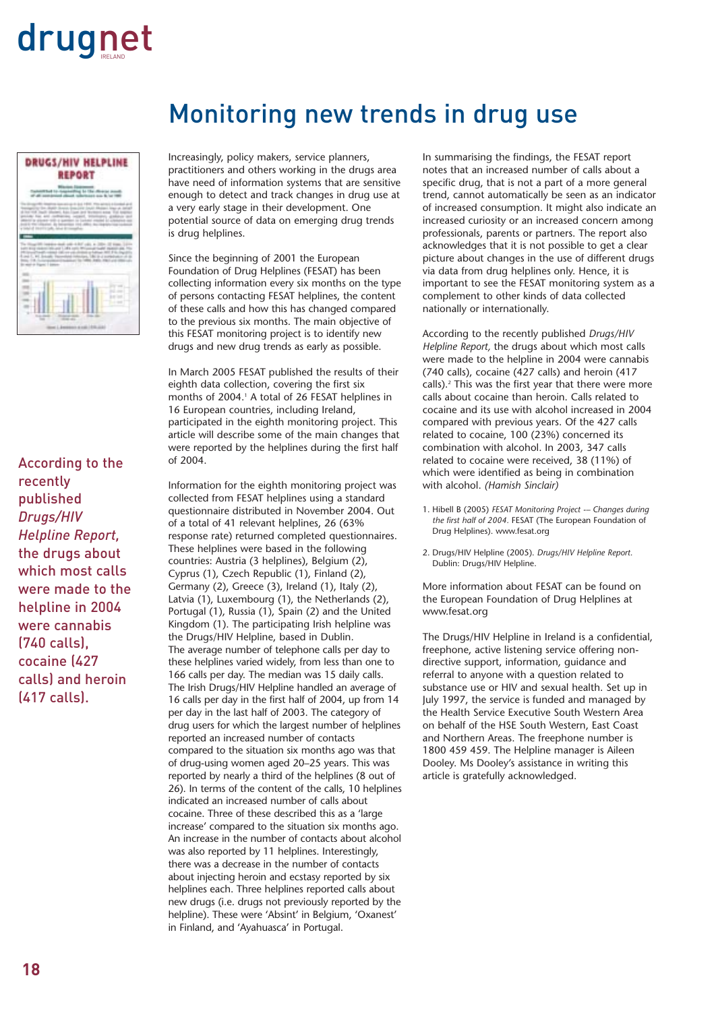

According to the recently published *Drugs/HIV Helpline Report,* the drugs about which most calls were made to the helpline in 2004 were cannabis (740 calls), cocaine (427 calls) and heroin (417 calls).

### Monitoring new trends in drug use

Increasingly, policy makers, service planners, practitioners and others working in the drugs area have need of information systems that are sensitive enough to detect and track changes in drug use at a very early stage in their development. One potential source of data on emerging drug trends is drug helplines.

Since the beginning of 2001 the European Foundation of Drug Helplines (FESAT) has been collecting information every six months on the type of persons contacting FESAT helplines, the content of these calls and how this has changed compared to the previous six months. The main objective of this FESAT monitoring project is to identify new drugs and new drug trends as early as possible.

In March 2005 FESAT published the results of their eighth data collection, covering the first six months of 2004.<sup>1</sup> A total of 26 FESAT helplines in 16 European countries, including Ireland, participated in the eighth monitoring project. This article will describe some of the main changes that were reported by the helplines during the first half of 2004.

Information for the eighth monitoring project was collected from FESAT helplines using a standard questionnaire distributed in November 2004. Out of a total of 41 relevant helplines, 26 (63% response rate) returned completed questionnaires. These helplines were based in the following countries: Austria (3 helplines), Belgium (2), Cyprus (1), Czech Republic (1), Finland (2), Germany (2), Greece (3), Ireland (1), Italy (2), Latvia (1), Luxembourg (1), the Netherlands (2), Portugal (1), Russia (1), Spain (2) and the United Kingdom (1). The participating Irish helpline was the Drugs/HIV Helpline, based in Dublin. The average number of telephone calls per day to these helplines varied widely, from less than one to 166 calls per day. The median was 15 daily calls. The Irish Drugs/HIV Helpline handled an average of 16 calls per day in the first half of 2004, up from 14 per day in the last half of 2003. The category of drug users for which the largest number of helplines reported an increased number of contacts compared to the situation six months ago was that of drug-using women aged 20–25 years. This was reported by nearly a third of the helplines (8 out of 26). In terms of the content of the calls, 10 helplines indicated an increased number of calls about cocaine. Three of these described this as a 'large increase' compared to the situation six months ago. An increase in the number of contacts about alcohol was also reported by 11 helplines. Interestingly, there was a decrease in the number of contacts about injecting heroin and ecstasy reported by six helplines each. Three helplines reported calls about new drugs (i.e. drugs not previously reported by the helpline). These were 'Absint' in Belgium, 'Oxanest' in Finland, and 'Ayahuasca' in Portugal.

In summarising the findings, the FESAT report notes that an increased number of calls about a specific drug, that is not a part of a more general trend, cannot automatically be seen as an indicator of increased consumption. It might also indicate an increased curiosity or an increased concern among professionals, parents or partners. The report also acknowledges that it is not possible to get a clear picture about changes in the use of different drugs via data from drug helplines only. Hence, it is important to see the FESAT monitoring system as a complement to other kinds of data collected nationally or internationally.

According to the recently published *Drugs/HIV Helpline Report,* the drugs about which most calls were made to the helpline in 2004 were cannabis (740 calls), cocaine (427 calls) and heroin (417 calls).2 This was the first year that there were more calls about cocaine than heroin. Calls related to cocaine and its use with alcohol increased in 2004 compared with previous years. Of the 427 calls related to cocaine, 100 (23%) concerned its combination with alcohol. In 2003, 347 calls related to cocaine were received, 38 (11%) of which were identified as being in combination with alcohol. *(Hamish Sinclair)*

- 1. Hibell B (2005) *FESAT Monitoring Project -– Changes during the first half of 2004.* FESAT (The European Foundation of Drug Helplines). www.fesat.org
- 2. Drugs/HIV Helpline (2005). *Drugs/HIV Helpline Report.* Dublin: Drugs/HIV Helpline.

More information about FESAT can be found on the European Foundation of Drug Helplines at www.fesat.org

The Drugs/HIV Helpline in Ireland is a confidential, freephone, active listening service offering nondirective support, information, guidance and referral to anyone with a question related to substance use or HIV and sexual health. Set up in July 1997, the service is funded and managed by the Health Service Executive South Western Area on behalf of the HSE South Western, East Coast and Northern Areas. The freephone number is 1800 459 459. The Helpline manager is Aileen Dooley. Ms Dooley's assistance in writing this article is gratefully acknowledged.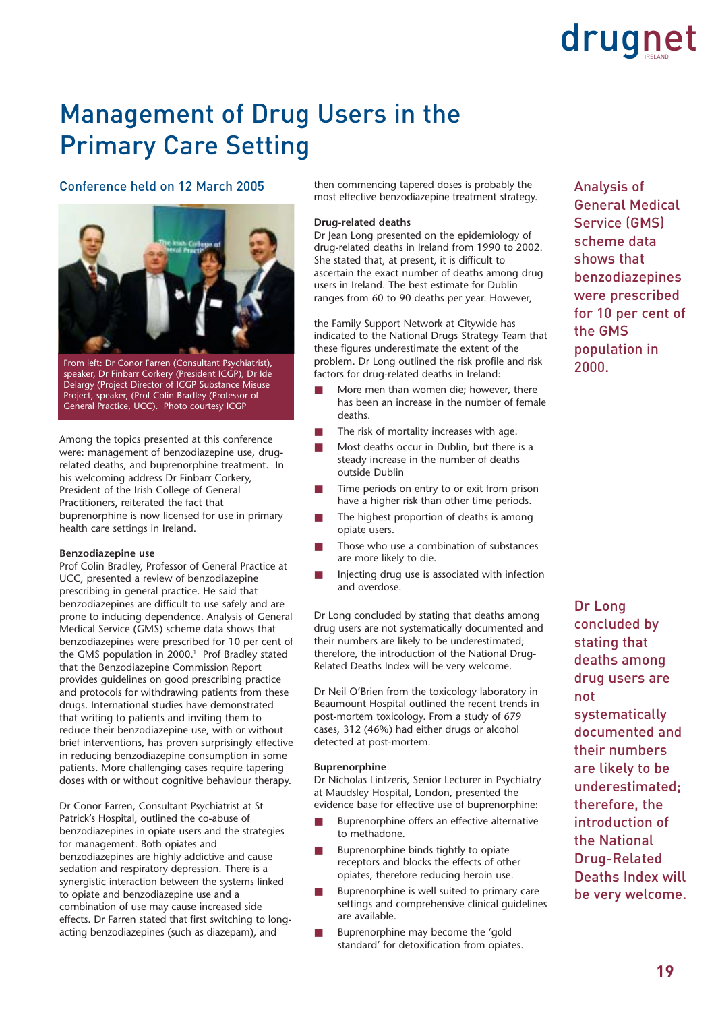### Management of Drug Users in the Primary Care Setting

#### Conference held on 12 March 2005



From left: Dr Conor Farren (Consultant Psychiatrist), speaker, Dr Finbarr Corkery (President ICGP), Dr Ide Delargy (Project Director of ICGP Substance Misuse Project, speaker, (Prof Colin Bradley (Professor of General Practice, UCC). Photo courtesy ICGP

Among the topics presented at this conference were: management of benzodiazepine use, drugrelated deaths, and buprenorphine treatment. In his welcoming address Dr Finbarr Corkery, President of the Irish College of General Practitioners, reiterated the fact that buprenorphine is now licensed for use in primary health care settings in Ireland.

#### **Benzodiazepine use**

Prof Colin Bradley, Professor of General Practice at UCC, presented a review of benzodiazepine prescribing in general practice. He said that benzodiazepines are difficult to use safely and are prone to inducing dependence. Analysis of General Medical Service (GMS) scheme data shows that benzodiazepines were prescribed for 10 per cent of the GMS population in 2000.<sup>1</sup> Prof Bradley stated that the Benzodiazepine Commission Report provides guidelines on good prescribing practice and protocols for withdrawing patients from these drugs. International studies have demonstrated that writing to patients and inviting them to reduce their benzodiazepine use, with or without brief interventions, has proven surprisingly effective in reducing benzodiazepine consumption in some patients. More challenging cases require tapering doses with or without cognitive behaviour therapy.

Dr Conor Farren, Consultant Psychiatrist at St Patrick's Hospital, outlined the co-abuse of benzodiazepines in opiate users and the strategies for management. Both opiates and benzodiazepines are highly addictive and cause sedation and respiratory depression. There is a synergistic interaction between the systems linked to opiate and benzodiazepine use and a combination of use may cause increased side effects. Dr Farren stated that first switching to longacting benzodiazepines (such as diazepam), and

then commencing tapered doses is probably the most effective benzodiazepine treatment strategy.

#### **Drug-related deaths**

Dr Jean Long presented on the epidemiology of drug-related deaths in Ireland from 1990 to 2002. She stated that, at present, it is difficult to ascertain the exact number of deaths among drug users in Ireland. The best estimate for Dublin ranges from 60 to 90 deaths per year. However,

the Family Support Network at Citywide has indicated to the National Drugs Strategy Team that these figures underestimate the extent of the problem. Dr Long outlined the risk profile and risk factors for drug-related deaths in Ireland:

- More men than women die; however, there has been an increase in the number of female deaths.
- The risk of mortality increases with age.
- Most deaths occur in Dublin, but there is a steady increase in the number of deaths outside Dublin
- Time periods on entry to or exit from prison have a higher risk than other time periods.
- The highest proportion of deaths is among opiate users.
- Those who use a combination of substances are more likely to die.
- Injecting drug use is associated with infection and overdose.

Dr Long concluded by stating that deaths among drug users are not systematically documented and their numbers are likely to be underestimated; therefore, the introduction of the National Drug-Related Deaths Index will be very welcome.

Dr Neil O'Brien from the toxicology laboratory in Beaumount Hospital outlined the recent trends in post-mortem toxicology. From a study of 679 cases, 312 (46%) had either drugs or alcohol detected at post-mortem.

#### **Buprenorphine**

Dr Nicholas Lintzeris, Senior Lecturer in Psychiatry at Maudsley Hospital, London, presented the evidence base for effective use of buprenorphine:

- Buprenorphine offers an effective alternative to methadone.
- Buprenorphine binds tightly to opiate receptors and blocks the effects of other opiates, therefore reducing heroin use.
- Buprenorphine is well suited to primary care settings and comprehensive clinical guidelines are available.
- Buprenorphine may become the 'gold standard' for detoxification from opiates.

Analysis of General Medical Service (GMS) scheme data shows that benzodiazepines were prescribed for 10 per cent of the GMS population in 2000.

Dr Long concluded by stating that deaths among drug users are not

systematically documented and their numbers are likely to be underestimated; therefore, the introduction of the National Drug-Related Deaths Index will be very welcome.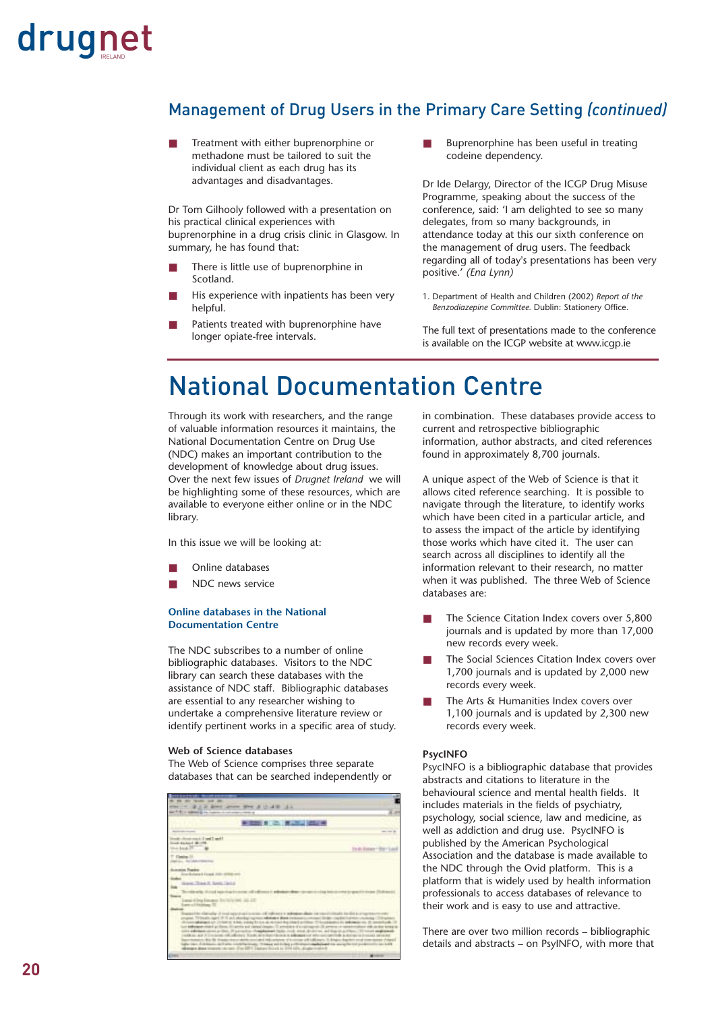#### Management of Drug Users in the Primary Care Setting *(continued)*

Treatment with either buprenorphine or methadone must be tailored to suit the individual client as each drug has its advantages and disadvantages.

Dr Tom Gilhooly followed with a presentation on his practical clinical experiences with buprenorphine in a drug crisis clinic in Glasgow. In summary, he has found that:

- There is little use of buprenorphine in Scotland.
- His experience with inpatients has been very helpful.

Patients treated with buprenorphine have longer opiate-free intervals.

■ Buprenorphine has been useful in treating codeine dependency.

Dr Ide Delargy, Director of the ICGP Drug Misuse Programme, speaking about the success of the conference, said: 'I am delighted to see so many delegates, from so many backgrounds, in attendance today at this our sixth conference on the management of drug users. The feedback regarding all of today's presentations has been very positive.' *(Ena Lynn)*

1. Department of Health and Children (2002) *Report of the Benzodiazepine Committee.* Dublin: Stationery Office.

The full text of presentations made to the conference is available on the ICGP website at www.icgp.ie

### National Documentation Centre

Through its work with researchers, and the range of valuable information resources it maintains, the National Documentation Centre on Drug Use (NDC) makes an important contribution to the development of knowledge about drug issues. Over the next few issues of *Drugnet Ireland* we will be highlighting some of these resources, which are available to everyone either online or in the NDC library.

In this issue we will be looking at:

- Online databases
- NDC news service

#### **Online databases in the National Documentation Centre**

The NDC subscribes to a number of online bibliographic databases. Visitors to the NDC library can search these databases with the assistance of NDC staff. Bibliographic databases are essential to any researcher wishing to undertake a comprehensive literature review or identify pertinent works in a specific area of study.

#### **Web of Science databases**

The Web of Science comprises three separate databases that can be searched independently or

| <b>BE AN INCH.</b>                                                                                                                                                       |                                                       |
|--------------------------------------------------------------------------------------------------------------------------------------------------------------------------|-------------------------------------------------------|
| ALC: UNK AV<br>$-212$                                                                                                                                                    |                                                       |
| and it is the second in the form                                                                                                                                         |                                                       |
| - 三、「こり」 エンス (の) は                                                                                                                                                       |                                                       |
|                                                                                                                                                                          |                                                       |
| The Clear Licenson                                                                                                                                                       |                                                       |
| <b>A SANAT BURN</b>                                                                                                                                                      |                                                       |
|                                                                                                                                                                          | <b>Edit Art Allan</b>                                 |
|                                                                                                                                                                          |                                                       |
|                                                                                                                                                                          |                                                       |
|                                                                                                                                                                          |                                                       |
|                                                                                                                                                                          |                                                       |
|                                                                                                                                                                          |                                                       |
| a. Town E. April, Jackie                                                                                                                                                 |                                                       |
|                                                                                                                                                                          |                                                       |
| No. 101, 2011 of the state of the and in and                                                                                                                             |                                                       |
| And Assistant TO                                                                                                                                                         |                                                       |
| <b>UNITED RESIDENTS</b>                                                                                                                                                  |                                                       |
| painter relatively of third approval to scient of Haft and it subseques all                                                                                              | collected the client do at                            |
| rights. This admits signal of the administration process relations a determination of<br>Controllegies an Including when collegible are at their this intent or time. If |                                                       |
| a bibliogen chief at filtra. All annis ad caractilessis. Il private a d'ordinaped Di propos el carac                                                                     |                                                       |
| the additions stress or that. If you cannot chapters and fields freed stress                                                                                             | and financial and                                     |
| addition, and it is constants and<br>advisor had anniversary and please<br>present a dip for the present serviced will select it's strate off of                         | the Authorization American Associates<br><b>STATE</b> |
| by East of children's and who constitutionally. Through and decline a city                                                                                               | Britished top, several flatted to                     |
| deniate does require to their distribute instructional in his                                                                                                            |                                                       |
|                                                                                                                                                                          |                                                       |

in combination. These databases provide access to current and retrospective bibliographic information, author abstracts, and cited references found in approximately 8,700 journals.

A unique aspect of the Web of Science is that it allows cited reference searching. It is possible to navigate through the literature, to identify works which have been cited in a particular article, and to assess the impact of the article by identifying those works which have cited it. The user can search across all disciplines to identify all the information relevant to their research, no matter when it was published. The three Web of Science databases are:

- The Science Citation Index covers over 5,800 journals and is updated by more than 17,000 new records every week.
- The Social Sciences Citation Index covers over 1,700 journals and is updated by 2,000 new records every week.
- The Arts & Humanities Index covers over 1,100 journals and is updated by 2,300 new records every week.

#### **PsycINFO**

PsycINFO is a bibliographic database that provides abstracts and citations to literature in the behavioural science and mental health fields. It includes materials in the fields of psychiatry, psychology, social science, law and medicine, as well as addiction and drug use. PsycINFO is published by the American Psychological Association and the database is made available to the NDC through the Ovid platform. This is a platform that is widely used by health information professionals to access databases of relevance to their work and is easy to use and attractive.

There are over two million records – bibliographic details and abstracts – on PsyINFO, with more that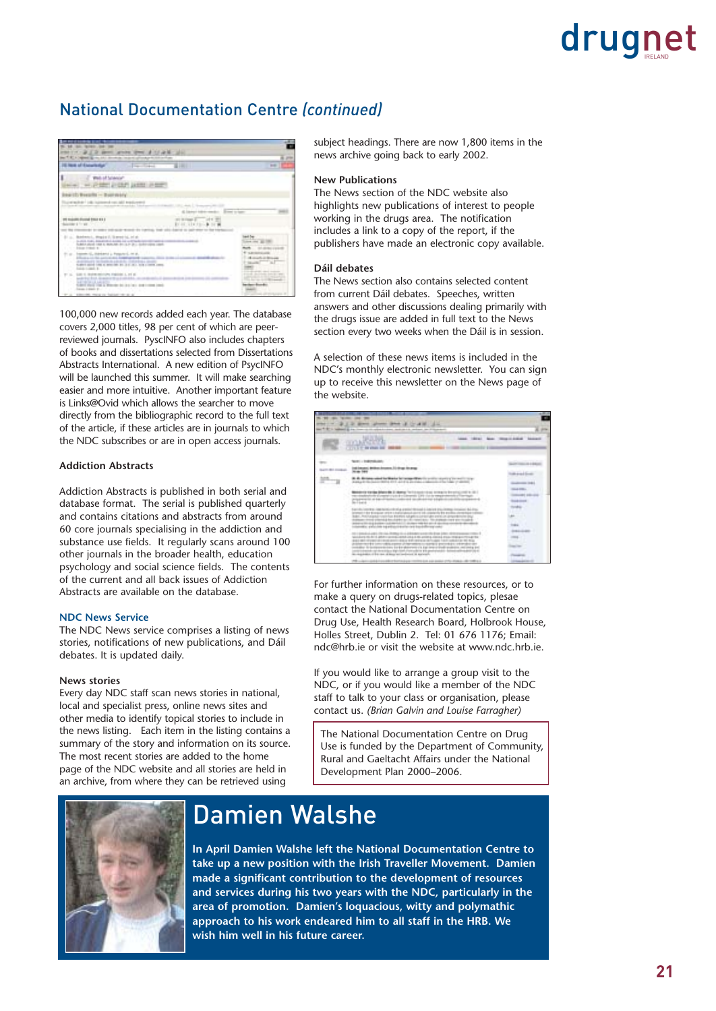#### National Documentation Centre *(continued)*

| <b>STATISTICS</b><br><b>APRILE R</b><br>Sec T. E. A. (agent 12) thru July 12-room<br><b>26 Now of Encortedge</b><br>The Corporation                                                                                                             | 富汗国王                                                                                        | <b>TIME</b>           |
|-------------------------------------------------------------------------------------------------------------------------------------------------------------------------------------------------------------------------------------------------|---------------------------------------------------------------------------------------------|-----------------------|
| Web of Science*<br>I WAS CITED AND A RESIDENT OF REAL<br>Dearth Results - Boorwery<br>product this is a control of the                                                                                                                          | $-1$                                                                                        |                       |
| PE SUARE FOUND TWO KILL<br>blanks is forest. The                                                                                                                                                                                                | at briggs 2 of 1 10<br>EV-10 128 FEI- B 10<br>Expected the capital editor too that todaying | <b>CARD OF GREAT</b>  |
| 21 p., Montweed, Megin 2. Starest Id. 21 p.<br>to once, many department designs for<br>Substituted case is monitor in cur- in L Goldmobile cas<br><b><i>Course Frederick W</i></b>                                                              |                                                                                             | <b>Sea city 30</b>    |
| Instead II, Historic L. Palguns L. M. E.<br><b><i><u><i>A</i></u></i></b> Contract Contract<br>A 41 Month of the Sharehold A A de at Art. 11 Month of a 19-<br>SURVE AND THE A BOSTON BY JULY 21, 108 CORPS LINES.<br><b>Solution And St. 1</b> | n Mar                                                                                       | <b>A count of the</b> |
| SUE IL RUMINIUM FIBERI L 27 E<br><b>DISCOVER</b><br>Audit Roll Rock, Science of A<br><b>CARD WAS THE TWO AND RESIDENT AND REAL PROPERTY.</b><br>Source: I stock to                                                                              |                                                                                             |                       |
| actions right, result and that business rate at an                                                                                                                                                                                              |                                                                                             |                       |

100,000 new records added each year. The database covers 2,000 titles, 98 per cent of which are peerreviewed journals. PyscINFO also includes chapters of books and dissertations selected from Dissertations Abstracts International. A new edition of PsycINFO will be launched this summer. It will make searching easier and more intuitive. Another important feature is Links@Ovid which allows the searcher to move directly from the bibliographic record to the full text of the article, if these articles are in journals to which the NDC subscribes or are in open access journals.

#### **Addiction Abstracts**

Addiction Abstracts is published in both serial and database format. The serial is published quarterly and contains citations and abstracts from around 60 core journals specialising in the addiction and substance use fields. It regularly scans around 100 other journals in the broader health, education psychology and social science fields. The contents of the current and all back issues of Addiction Abstracts are available on the database.

#### **NDC News Service**

The NDC News service comprises a listing of news stories, notifications of new publications, and Dáil debates. It is updated daily.

#### **News stories**

Every day NDC staff scan news stories in national, local and specialist press, online news sites and other media to identify topical stories to include in the news listing. Each item in the listing contains a summary of the story and information on its source. The most recent stories are added to the home page of the NDC website and all stories are held in an archive, from where they can be retrieved using

subject headings. There are now 1,800 items in the news archive going back to early 2002.

#### **New Publications**

The News section of the NDC website also highlights new publications of interest to people working in the drugs area. The notification includes a link to a copy of the report, if the publishers have made an electronic copy available.

#### **Dáil debates**

The News section also contains selected content from current Dáil debates. Speeches, written answers and other discussions dealing primarily with the drugs issue are added in full text to the News section every two weeks when the Dáil is in session.

A selection of these news items is included in the NDC's monthly electronic newsletter. You can sign up to receive this newsletter on the News page of the website.



For further information on these resources, or to make a query on drugs-related topics, plesae contact the National Documentation Centre on Drug Use, Health Research Board, Holbrook House, Holles Street, Dublin 2. Tel: 01 676 1176; Email: ndc@hrb.ie or visit the website at www.ndc.hrb.ie.

If you would like to arrange a group visit to the NDC, or if you would like a member of the NDC staff to talk to your class or organisation, please contact us. *(Brian Galvin and Louise Farragher)*

The National Documentation Centre on Drug Use is funded by the Department of Community, Rural and Gaeltacht Affairs under the National Development Plan 2000–2006.



### Damien Walshe

**In April Damien Walshe left the National Documentation Centre to take up a new position with the Irish Traveller Movement. Damien made a significant contribution to the development of resources and services during his two years with the NDC, particularly in the area of promotion. Damien's loquacious, witty and polymathic approach to his work endeared him to all staff in the HRB. We wish him well in his future career.**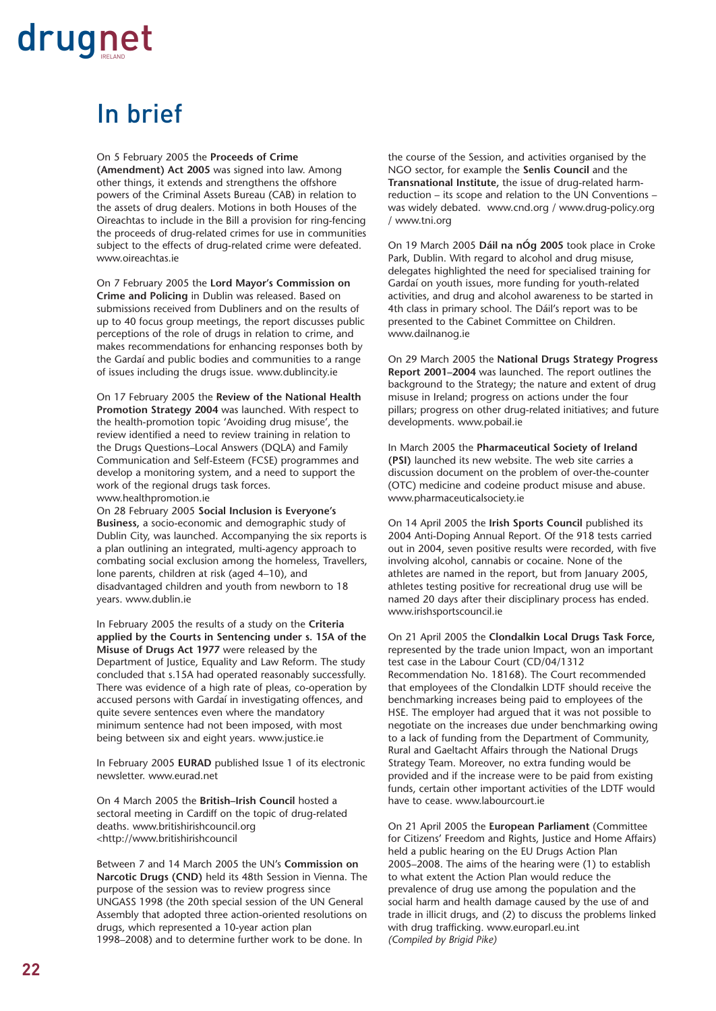## In brief

On 5 February 2005 the **Proceeds of Crime**

**(Amendment) Act 2005** was signed into law. Among other things, it extends and strengthens the offshore powers of the Criminal Assets Bureau (CAB) in relation to the assets of drug dealers. Motions in both Houses of the Oireachtas to include in the Bill a provision for ring-fencing the proceeds of drug-related crimes for use in communities subject to the effects of drug-related crime were defeated. www.oireachtas.ie

On 7 February 2005 the **Lord Mayor's Commission on Crime and Policing** in Dublin was released. Based on submissions received from Dubliners and on the results of up to 40 focus group meetings, the report discusses public perceptions of the role of drugs in relation to crime, and makes recommendations for enhancing responses both by the Gardaí and public bodies and communities to a range of issues including the drugs issue. www.dublincity.ie

On 17 February 2005 the **Review of the National Health Promotion Strategy 2004** was launched. With respect to the health-promotion topic 'Avoiding drug misuse', the review identified a need to review training in relation to the Drugs Questions–Local Answers (DQLA) and Family Communication and Self-Esteem (FCSE) programmes and develop a monitoring system, and a need to support the work of the regional drugs task forces. www.healthpromotion.ie

On 28 February 2005 **Social Inclusion is Everyone's Business,** a socio-economic and demographic study of Dublin City, was launched. Accompanying the six reports is a plan outlining an integrated, multi-agency approach to combating social exclusion among the homeless, Travellers, lone parents, children at risk (aged 4–10), and disadvantaged children and youth from newborn to 18 years. www.dublin.ie

In February 2005 the results of a study on the **Criteria applied by the Courts in Sentencing under s. 15A of the Misuse of Drugs Act 1977** were released by the Department of Justice, Equality and Law Reform. The study concluded that s.15A had operated reasonably successfully. There was evidence of a high rate of pleas, co-operation by accused persons with Gardaí in investigating offences, and quite severe sentences even where the mandatory minimum sentence had not been imposed, with most being between six and eight years. www.justice.ie

In February 2005 **EURAD** published Issue 1 of its electronic newsletter. www.eurad.net

On 4 March 2005 the **British–Irish Council** hosted a sectoral meeting in Cardiff on the topic of drug-related deaths. www.britishirishcouncil.org <http://www.britishirishcouncil

Between 7 and 14 March 2005 the UN's **Commission on Narcotic Drugs (CND)** held its 48th Session in Vienna. The purpose of the session was to review progress since UNGASS 1998 (the 20th special session of the UN General Assembly that adopted three action-oriented resolutions on drugs, which represented a 10-year action plan 1998–2008) and to determine further work to be done. In

the course of the Session, and activities organised by the NGO sector, for example the **Senlis Council** and the **Transnational Institute,** the issue of drug-related harmreduction – its scope and relation to the UN Conventions – was widely debated. www.cnd.org / www.drug-policy.org / www.tni.org

On 19 March 2005 **Dáil na nÓg 2005** took place in Croke Park, Dublin. With regard to alcohol and drug misuse, delegates highlighted the need for specialised training for Gardaí on youth issues, more funding for youth-related activities, and drug and alcohol awareness to be started in 4th class in primary school. The Dáil's report was to be presented to the Cabinet Committee on Children. www.dailnanog.ie

On 29 March 2005 the **National Drugs Strategy Progress Report 2001–2004** was launched. The report outlines the background to the Strategy; the nature and extent of drug misuse in Ireland; progress on actions under the four pillars; progress on other drug-related initiatives; and future developments. www.pobail.ie

In March 2005 the **Pharmaceutical Society of Ireland (PSI)** launched its new website. The web site carries a discussion document on the problem of over-the-counter (OTC) medicine and codeine product misuse and abuse. www.pharmaceuticalsociety.ie

On 14 April 2005 the **Irish Sports Council** published its 2004 Anti-Doping Annual Report. Of the 918 tests carried out in 2004, seven positive results were recorded, with five involving alcohol, cannabis or cocaine. None of the athletes are named in the report, but from January 2005, athletes testing positive for recreational drug use will be named 20 days after their disciplinary process has ended. www.irishsportscouncil.ie

On 21 April 2005 the **Clondalkin Local Drugs Task Force,** represented by the trade union Impact, won an important test case in the Labour Court (CD/04/1312 Recommendation No. 18168). The Court recommended that employees of the Clondalkin LDTF should receive the benchmarking increases being paid to employees of the HSE. The employer had argued that it was not possible to negotiate on the increases due under benchmarking owing to a lack of funding from the Department of Community, Rural and Gaeltacht Affairs through the National Drugs Strategy Team. Moreover, no extra funding would be provided and if the increase were to be paid from existing funds, certain other important activities of the LDTF would have to cease. www.labourcourt.ie

On 21 April 2005 the **European Parliament** (Committee for Citizens' Freedom and Rights, Justice and Home Affairs) held a public hearing on the EU Drugs Action Plan 2005–2008. The aims of the hearing were (1) to establish to what extent the Action Plan would reduce the prevalence of drug use among the population and the social harm and health damage caused by the use of and trade in illicit drugs, and (2) to discuss the problems linked with drug trafficking. www.europarl.eu.int *(Compiled by Brigid Pike)*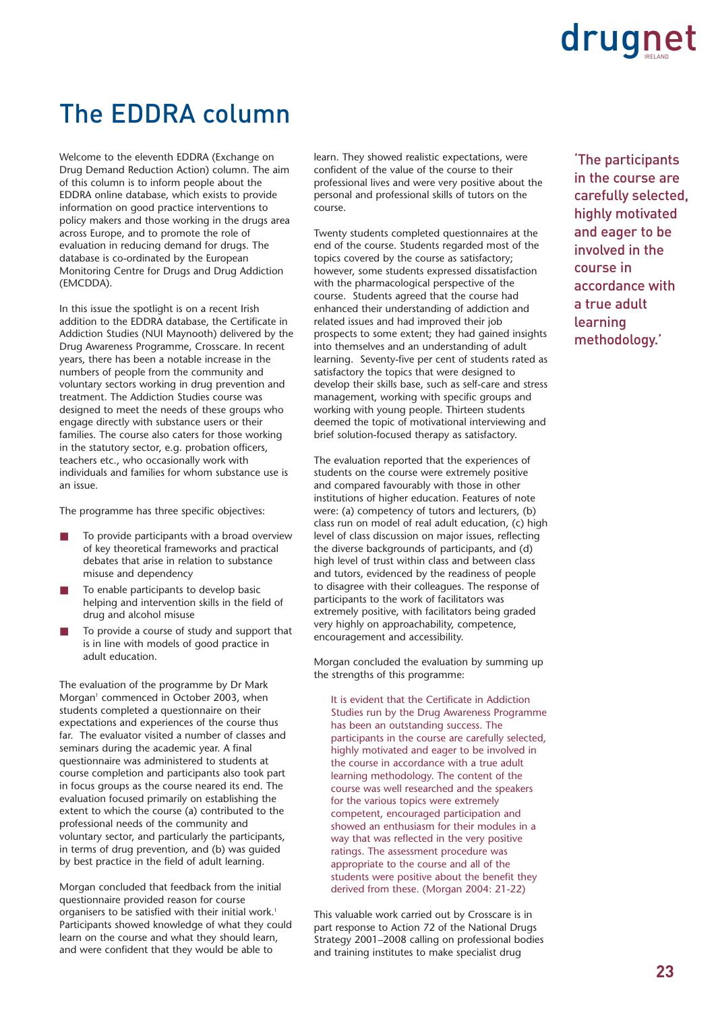### The EDDRA column

Welcome to the eleventh EDDRA (Exchange on Drug Demand Reduction Action) column. The aim of this column is to inform people about the EDDRA online database, which exists to provide information on good practice interventions to policy makers and those working in the drugs area across Europe, and to promote the role of evaluation in reducing demand for drugs. The database is co-ordinated by the European Monitoring Centre for Drugs and Drug Addiction (EMCDDA).

In this issue the spotlight is on a recent Irish addition to the EDDRA database, the Certificate in Addiction Studies (NUI Maynooth) delivered by the Drug Awareness Programme, Crosscare. In recent years, there has been a notable increase in the numbers of people from the community and voluntary sectors working in drug prevention and treatment. The Addiction Studies course was designed to meet the needs of these groups who engage directly with substance users or their families. The course also caters for those working in the statutory sector, e.g. probation officers, teachers etc., who occasionally work with individuals and families for whom substance use is an issue.

The programme has three specific objectives:

- To provide participants with a broad overview of key theoretical frameworks and practical debates that arise in relation to substance misuse and dependency
- To enable participants to develop basic helping and intervention skills in the field of drug and alcohol misuse
- To provide a course of study and support that is in line with models of good practice in adult education.

The evaluation of the programme by Dr Mark Morgan<sup>1</sup> commenced in October 2003, when students completed a questionnaire on their expectations and experiences of the course thus far. The evaluator visited a number of classes and seminars during the academic year. A final questionnaire was administered to students at course completion and participants also took part in focus groups as the course neared its end. The evaluation focused primarily on establishing the extent to which the course (a) contributed to the professional needs of the community and voluntary sector, and particularly the participants, in terms of drug prevention, and (b) was guided by best practice in the field of adult learning.

Morgan concluded that feedback from the initial questionnaire provided reason for course organisers to be satisfied with their initial work.<sup>1</sup> Participants showed knowledge of what they could learn on the course and what they should learn, and were confident that they would be able to

learn. They showed realistic expectations, were confident of the value of the course to their professional lives and were very positive about the personal and professional skills of tutors on the course.

Twenty students completed questionnaires at the end of the course. Students regarded most of the topics covered by the course as satisfactory; however, some students expressed dissatisfaction with the pharmacological perspective of the course. Students agreed that the course had enhanced their understanding of addiction and related issues and had improved their job prospects to some extent; they had gained insights into themselves and an understanding of adult learning. Seventy-five per cent of students rated as satisfactory the topics that were designed to develop their skills base, such as self-care and stress management, working with specific groups and working with young people. Thirteen students deemed the topic of motivational interviewing and brief solution-focused therapy as satisfactory.

The evaluation reported that the experiences of students on the course were extremely positive and compared favourably with those in other institutions of higher education. Features of note were: (a) competency of tutors and lecturers, (b) class run on model of real adult education, (c) high level of class discussion on major issues, reflecting the diverse backgrounds of participants, and (d) high level of trust within class and between class and tutors, evidenced by the readiness of people to disagree with their colleagues. The response of participants to the work of facilitators was extremely positive, with facilitators being graded very highly on approachability, competence, encouragement and accessibility.

Morgan concluded the evaluation by summing up the strengths of this programme:

It is evident that the Certificate in Addiction Studies run by the Drug Awareness Programme has been an outstanding success. The participants in the course are carefully selected, highly motivated and eager to be involved in the course in accordance with a true adult learning methodology. The content of the course was well researched and the speakers for the various topics were extremely competent, encouraged participation and showed an enthusiasm for their modules in a way that was reflected in the very positive ratings. The assessment procedure was appropriate to the course and all of the students were positive about the benefit they derived from these. (Morgan 2004: 21-22)

This valuable work carried out by Crosscare is in part response to Action 72 of the National Drugs Strategy 2001–2008 calling on professional bodies and training institutes to make specialist drug

'The participants in the course are carefully selected, highly motivated and eager to be involved in the course in accordance with a true adult learning methodology.'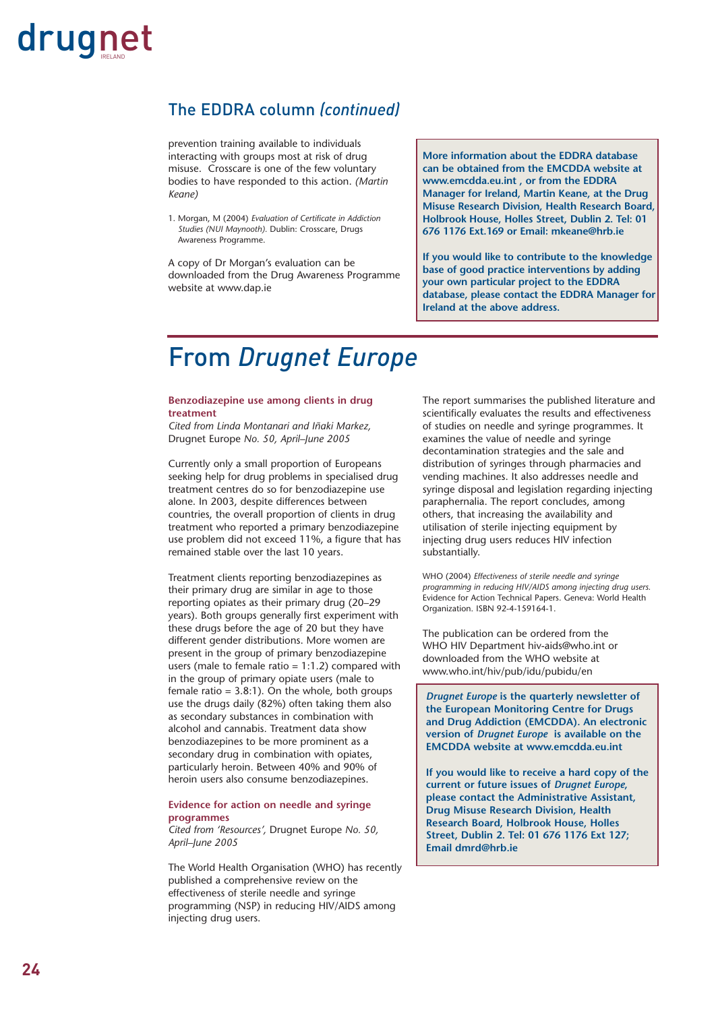#### The EDDRA column *(continued)*

prevention training available to individuals interacting with groups most at risk of drug misuse. Crosscare is one of the few voluntary bodies to have responded to this action. *(Martin Keane)*

1. Morgan, M (2004) *Evaluation of Certificate in Addiction Studies (NUI Maynooth).* Dublin: Crosscare, Drugs Awareness Programme.

A copy of Dr Morgan's evaluation can be downloaded from the Drug Awareness Programme website at www.dap.ie

**More information about the EDDRA database can be obtained from the EMCDDA website at www.emcdda.eu.int , or from the EDDRA Manager for Ireland, Martin Keane, at the Drug Misuse Research Division, Health Research Board, Holbrook House, Holles Street, Dublin 2. Tel: 01 676 1176 Ext.169 or Email: mkeane@hrb.ie**

**If you would like to contribute to the knowledge base of good practice interventions by adding your own particular project to the EDDRA database, please contact the EDDRA Manager for Ireland at the above address.** 

### From *Drugnet Europe*

#### **Benzodiazepine use among clients in drug treatment**

*Cited from Linda Montanari and Iñaki Markez,* Drugnet Europe *No. 50, April–June 2005*

Currently only a small proportion of Europeans seeking help for drug problems in specialised drug treatment centres do so for benzodiazepine use alone. In 2003, despite differences between countries, the overall proportion of clients in drug treatment who reported a primary benzodiazepine use problem did not exceed 11%, a figure that has remained stable over the last 10 years.

Treatment clients reporting benzodiazepines as their primary drug are similar in age to those reporting opiates as their primary drug (20–29 years). Both groups generally first experiment with these drugs before the age of 20 but they have different gender distributions. More women are present in the group of primary benzodiazepine users (male to female ratio =  $1:1.2$ ) compared with in the group of primary opiate users (male to female ratio  $= 3.8:1$ ). On the whole, both groups use the drugs daily (82%) often taking them also as secondary substances in combination with alcohol and cannabis. Treatment data show benzodiazepines to be more prominent as a secondary drug in combination with opiates, particularly heroin. Between 40% and 90% of heroin users also consume benzodiazepines.

#### **Evidence for action on needle and syringe programmes**

*Cited from 'Resources',* Drugnet Europe *No. 50, April–June 2005*

The World Health Organisation (WHO) has recently published a comprehensive review on the effectiveness of sterile needle and syringe programming (NSP) in reducing HIV/AIDS among injecting drug users.

The report summarises the published literature and scientifically evaluates the results and effectiveness of studies on needle and syringe programmes. It examines the value of needle and syringe decontamination strategies and the sale and distribution of syringes through pharmacies and vending machines. It also addresses needle and syringe disposal and legislation regarding injecting paraphernalia. The report concludes, among others, that increasing the availability and utilisation of sterile injecting equipment by injecting drug users reduces HIV infection substantially.

WHO (2004) *Effectiveness of sterile needle and syringe programming in reducing HIV/AIDS among injecting drug users.* Evidence for Action Technical Papers. Geneva: World Health Organization. ISBN 92-4-159164-1.

The publication can be ordered from the WHO HIV Department hiv-aids@who.int or downloaded from the WHO website at www.who.int/hiv/pub/idu/pubidu/en

*Drugnet Europe* **is the quarterly newsletter of the European Monitoring Centre for Drugs and Drug Addiction (EMCDDA). An electronic version of** *Drugnet Europe* **is available on the EMCDDA website at www.emcdda.eu.int**

**If you would like to receive a hard copy of the current or future issues of** *Drugnet Europe***, please contact the Administrative Assistant, Drug Misuse Research Division, Health Research Board, Holbrook House, Holles Street, Dublin 2. Tel: 01 676 1176 Ext 127; Email dmrd@hrb.ie**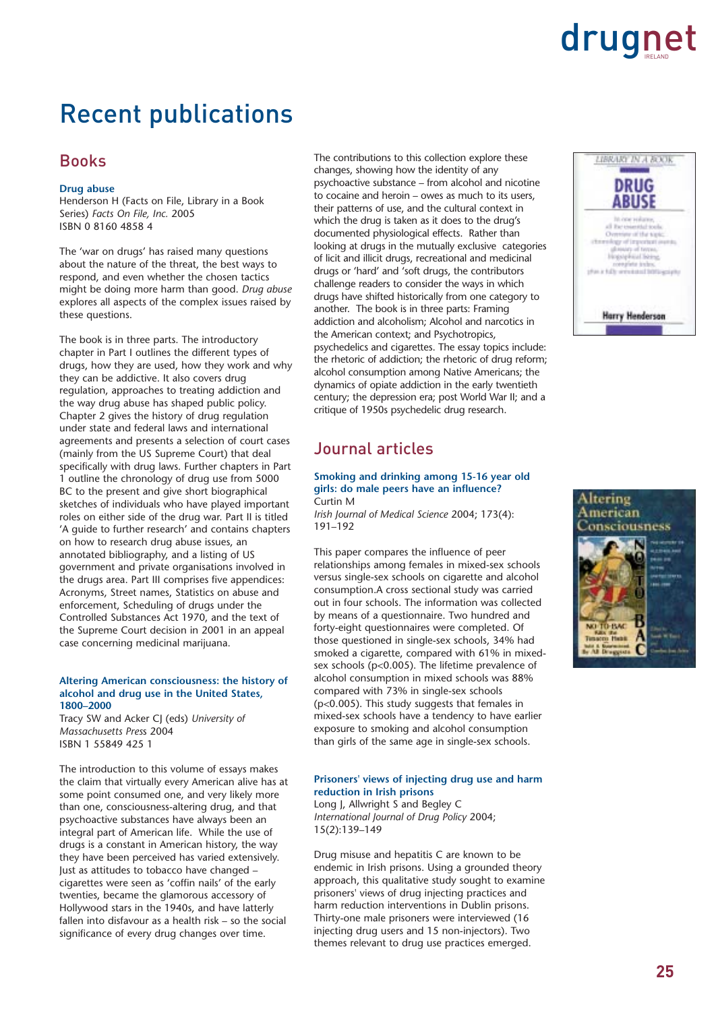### Recent publications

#### Books

#### **Drug abuse**

Henderson H (Facts on File, Library in a Book Series) *Facts On File, Inc.* 2005 ISBN 0 8160 4858 4

The 'war on drugs' has raised many questions about the nature of the threat, the best ways to respond, and even whether the chosen tactics might be doing more harm than good. *Drug abuse* explores all aspects of the complex issues raised by these questions.

The book is in three parts. The introductory chapter in Part I outlines the different types of drugs, how they are used, how they work and why they can be addictive. It also covers drug regulation, approaches to treating addiction and the way drug abuse has shaped public policy. Chapter 2 gives the history of drug regulation under state and federal laws and international agreements and presents a selection of court cases (mainly from the US Supreme Court) that deal specifically with drug laws. Further chapters in Part 1 outline the chronology of drug use from 5000 BC to the present and give short biographical sketches of individuals who have played important roles on either side of the drug war. Part II is titled 'A guide to further research' and contains chapters on how to research drug abuse issues, an annotated bibliography, and a listing of US government and private organisations involved in the drugs area. Part III comprises five appendices: Acronyms, Street names, Statistics on abuse and enforcement, Scheduling of drugs under the Controlled Substances Act 1970, and the text of the Supreme Court decision in 2001 in an appeal case concerning medicinal marijuana.

#### **Altering American consciousness: the history of alcohol and drug use in the United States, 1800–2000**

Tracy SW and Acker CJ (eds) *University of Massachusetts Pres*s 2004 ISBN 1 55849 425 1

The introduction to this volume of essays makes the claim that virtually every American alive has at some point consumed one, and very likely more than one, consciousness-altering drug, and that psychoactive substances have always been an integral part of American life. While the use of drugs is a constant in American history, the way they have been perceived has varied extensively. Just as attitudes to tobacco have changed – cigarettes were seen as 'coffin nails' of the early twenties, became the glamorous accessory of Hollywood stars in the 1940s, and have latterly fallen into disfavour as a health risk – so the social significance of every drug changes over time.

The contributions to this collection explore these changes, showing how the identity of any psychoactive substance – from alcohol and nicotine to cocaine and heroin – owes as much to its users, their patterns of use, and the cultural context in which the drug is taken as it does to the drug's documented physiological effects. Rather than looking at drugs in the mutually exclusive categories of licit and illicit drugs, recreational and medicinal drugs or 'hard' and 'soft drugs, the contributors challenge readers to consider the ways in which drugs have shifted historically from one category to another. The book is in three parts: Framing addiction and alcoholism; Alcohol and narcotics in the American context; and Psychotropics, psychedelics and cigarettes. The essay topics include: the rhetoric of addiction; the rhetoric of drug reform; alcohol consumption among Native Americans; the dynamics of opiate addiction in the early twentieth century; the depression era; post World War II; and a critique of 1950s psychedelic drug research.

#### Journal articles

#### **Smoking and drinking among 15-16 year old girls: do male peers have an influence?** Curtin M

*Irish Journal of Medical Science* 2004; 173(4): 191–192

This paper compares the influence of peer relationships among females in mixed-sex schools versus single-sex schools on cigarette and alcohol consumption.A cross sectional study was carried out in four schools. The information was collected by means of a questionnaire. Two hundred and forty-eight questionnaires were completed. Of those questioned in single-sex schools, 34% had smoked a cigarette, compared with 61% in mixedsex schools (p<0.005). The lifetime prevalence of alcohol consumption in mixed schools was 88% compared with 73% in single-sex schools (p<0.005). This study suggests that females in mixed-sex schools have a tendency to have earlier exposure to smoking and alcohol consumption than girls of the same age in single-sex schools.

#### **Prisoners' views of injecting drug use and harm reduction in Irish prisons**

Long J, Allwright S and Begley C *International Journal of Drug Policy* 2004; 15(2):139–149

Drug misuse and hepatitis C are known to be endemic in Irish prisons. Using a grounded theory approach, this qualitative study sought to examine prisoners' views of drug injecting practices and harm reduction interventions in Dublin prisons. Thirty-one male prisoners were interviewed (16 injecting drug users and 15 non-injectors). Two themes relevant to drug use practices emerged.



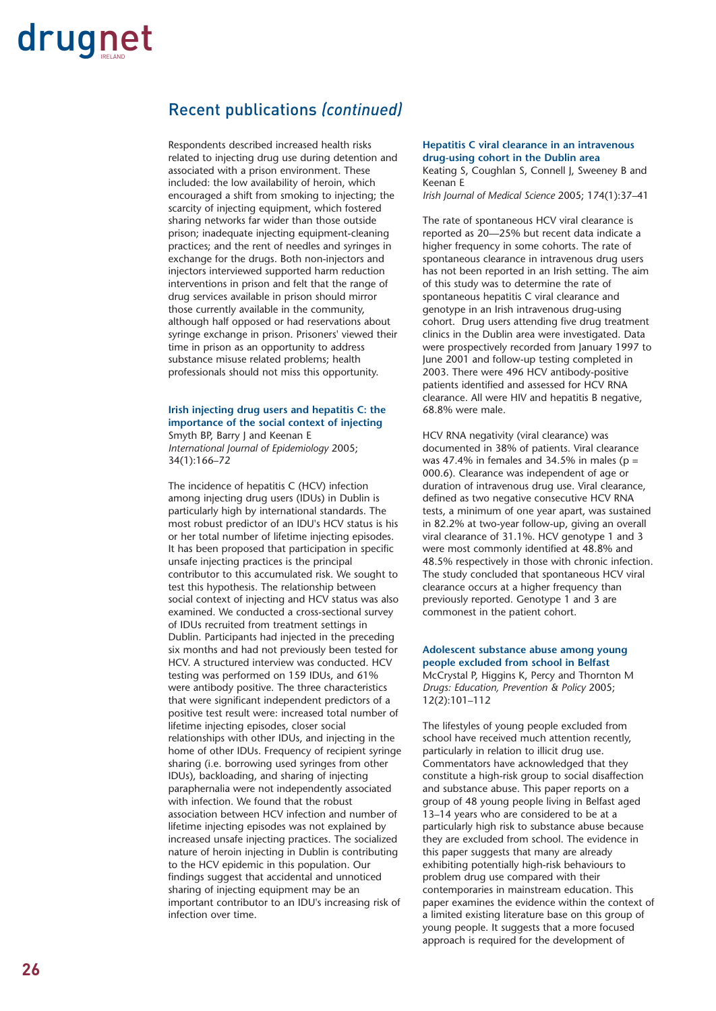#### Recent publications *(continued)*

Respondents described increased health risks related to injecting drug use during detention and associated with a prison environment. These included: the low availability of heroin, which encouraged a shift from smoking to injecting; the scarcity of injecting equipment, which fostered sharing networks far wider than those outside prison; inadequate injecting equipment-cleaning practices; and the rent of needles and syringes in exchange for the drugs. Both non-injectors and injectors interviewed supported harm reduction interventions in prison and felt that the range of drug services available in prison should mirror those currently available in the community, although half opposed or had reservations about syringe exchange in prison. Prisoners' viewed their time in prison as an opportunity to address substance misuse related problems; health professionals should not miss this opportunity.

#### **Irish injecting drug users and hepatitis C: the importance of the social context of injecting** Smyth BP, Barry J and Keenan E

*International Journal of Epidemiology* 2005; 34(1):166–72

The incidence of hepatitis C (HCV) infection among injecting drug users (IDUs) in Dublin is particularly high by international standards. The most robust predictor of an IDU's HCV status is his or her total number of lifetime injecting episodes. It has been proposed that participation in specific unsafe injecting practices is the principal contributor to this accumulated risk. We sought to test this hypothesis. The relationship between social context of injecting and HCV status was also examined. We conducted a cross-sectional survey of IDUs recruited from treatment settings in Dublin. Participants had injected in the preceding six months and had not previously been tested for HCV. A structured interview was conducted. HCV testing was performed on 159 IDUs, and 61% were antibody positive. The three characteristics that were significant independent predictors of a positive test result were: increased total number of lifetime injecting episodes, closer social relationships with other IDUs, and injecting in the home of other IDUs. Frequency of recipient syringe sharing (i.e. borrowing used syringes from other IDUs), backloading, and sharing of injecting paraphernalia were not independently associated with infection. We found that the robust association between HCV infection and number of lifetime injecting episodes was not explained by increased unsafe injecting practices. The socialized nature of heroin injecting in Dublin is contributing to the HCV epidemic in this population. Our findings suggest that accidental and unnoticed sharing of injecting equipment may be an important contributor to an IDU's increasing risk of infection over time.

#### **Hepatitis C viral clearance in an intravenous drug-using cohort in the Dublin area** Keating S, Coughlan S, Connell J, Sweeney B and Keenan E

*Irish Journal of Medical Science* 2005; 174(1):37–41

The rate of spontaneous HCV viral clearance is reported as 20—25% but recent data indicate a higher frequency in some cohorts. The rate of spontaneous clearance in intravenous drug users has not been reported in an Irish setting. The aim of this study was to determine the rate of spontaneous hepatitis C viral clearance and genotype in an Irish intravenous drug-using cohort. Drug users attending five drug treatment clinics in the Dublin area were investigated. Data were prospectively recorded from January 1997 to June 2001 and follow-up testing completed in 2003. There were 496 HCV antibody-positive patients identified and assessed for HCV RNA clearance. All were HIV and hepatitis B negative, 68.8% were male.

HCV RNA negativity (viral clearance) was documented in 38% of patients. Viral clearance was 47.4% in females and 34.5% in males ( $p =$ 000.6). Clearance was independent of age or duration of intravenous drug use. Viral clearance, defined as two negative consecutive HCV RNA tests, a minimum of one year apart, was sustained in 82.2% at two-year follow-up, giving an overall viral clearance of 31.1%. HCV genotype 1 and 3 were most commonly identified at 48.8% and 48.5% respectively in those with chronic infection. The study concluded that spontaneous HCV viral clearance occurs at a higher frequency than previously reported. Genotype 1 and 3 are commonest in the patient cohort.

#### **Adolescent substance abuse among young people excluded from school in Belfast** McCrystal P, Higgins K, Percy and Thornton M *Drugs: Education, Prevention & Policy* 2005; 12(2):101–112

The lifestyles of young people excluded from school have received much attention recently, particularly in relation to illicit drug use. Commentators have acknowledged that they constitute a high-risk group to social disaffection and substance abuse. This paper reports on a group of 48 young people living in Belfast aged 13–14 years who are considered to be at a particularly high risk to substance abuse because they are excluded from school. The evidence in this paper suggests that many are already exhibiting potentially high-risk behaviours to problem drug use compared with their contemporaries in mainstream education. This paper examines the evidence within the context of a limited existing literature base on this group of young people. It suggests that a more focused approach is required for the development of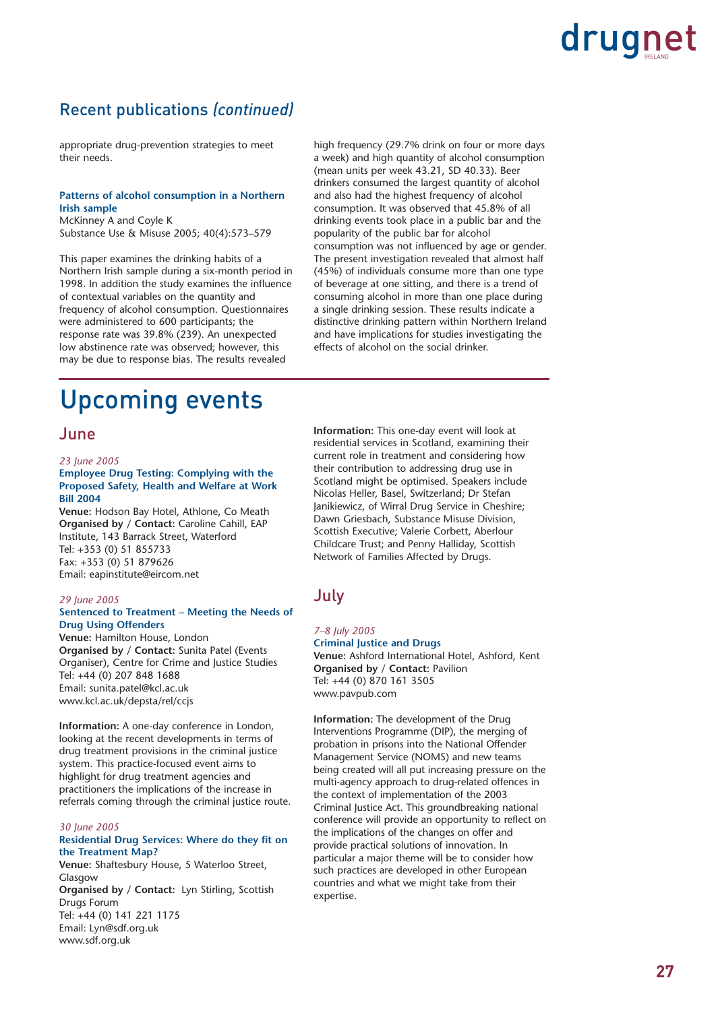#### Recent publications *(continued)*

appropriate drug-prevention strategies to meet their needs.

#### **Patterns of alcohol consumption in a Northern Irish sample**

McKinney A and Coyle K Substance Use & Misuse 2005; 40(4):573–579

This paper examines the drinking habits of a Northern Irish sample during a six-month period in 1998. In addition the study examines the influence of contextual variables on the quantity and frequency of alcohol consumption. Questionnaires were administered to 600 participants; the response rate was 39.8% (239). An unexpected low abstinence rate was observed; however, this may be due to response bias. The results revealed

high frequency (29.7% drink on four or more days a week) and high quantity of alcohol consumption (mean units per week 43.21, SD 40.33). Beer drinkers consumed the largest quantity of alcohol and also had the highest frequency of alcohol consumption. It was observed that 45.8% of all drinking events took place in a public bar and the popularity of the public bar for alcohol consumption was not influenced by age or gender. The present investigation revealed that almost half (45%) of individuals consume more than one type of beverage at one sitting, and there is a trend of consuming alcohol in more than one place during a single drinking session. These results indicate a distinctive drinking pattern within Northern Ireland and have implications for studies investigating the effects of alcohol on the social drinker.

## Upcoming events

#### June

#### *23 June 2005*

#### **Employee Drug Testing: Complying with the Proposed Safety, Health and Welfare at Work Bill 2004**

**Venue:** Hodson Bay Hotel, Athlone, Co Meath **Organised by / Contact:** Caroline Cahill, EAP Institute, 143 Barrack Street, Waterford Tel: +353 (0) 51 855733 Fax: +353 (0) 51 879626 Email: eapinstitute@eircom.net

#### *29 June 2005* **Sentenced to Treatment – Meeting the Needs of Drug Using Offenders**

**Venue:** Hamilton House, London **Organised by / Contact:** Sunita Patel (Events Organiser), Centre for Crime and Justice Studies Tel: +44 (0) 207 848 1688 Email: sunita.patel@kcl.ac.uk www.kcl.ac.uk/depsta/rel/ccjs

**Information:** A one-day conference in London, looking at the recent developments in terms of drug treatment provisions in the criminal justice system. This practice-focused event aims to highlight for drug treatment agencies and practitioners the implications of the increase in referrals coming through the criminal justice route.

#### *30 June 2005* **Residential Drug Services: Where do they fit on the Treatment Map?**

**Venue:** Shaftesbury House, 5 Waterloo Street, Glasgow **Organised by / Contact:** Lyn Stirling, Scottish Drugs Forum Tel: +44 (0) 141 221 1175 Email: Lyn@sdf.org.uk www.sdf.org.uk

**Information:** This one-day event will look at residential services in Scotland, examining their current role in treatment and considering how their contribution to addressing drug use in Scotland might be optimised. Speakers include Nicolas Heller, Basel, Switzerland; Dr Stefan Janikiewicz, of Wirral Drug Service in Cheshire; Dawn Griesbach, Substance Misuse Division, Scottish Executive; Valerie Corbett, Aberlour Childcare Trust; and Penny Halliday, Scottish Network of Families Affected by Drugs.

#### July

#### *7–8 July 2005*

**Criminal Justice and Drugs Venue:** Ashford International Hotel, Ashford, Kent **Organised by / Contact:** Pavilion Tel: +44 (0) 870 161 3505 www.pavpub.com

**Information:** The development of the Drug Interventions Programme (DIP), the merging of probation in prisons into the National Offender Management Service (NOMS) and new teams being created will all put increasing pressure on the multi-agency approach to drug-related offences in the context of implementation of the 2003 Criminal Justice Act. This groundbreaking national conference will provide an opportunity to reflect on the implications of the changes on offer and provide practical solutions of innovation. In particular a major theme will be to consider how such practices are developed in other European countries and what we might take from their expertise.